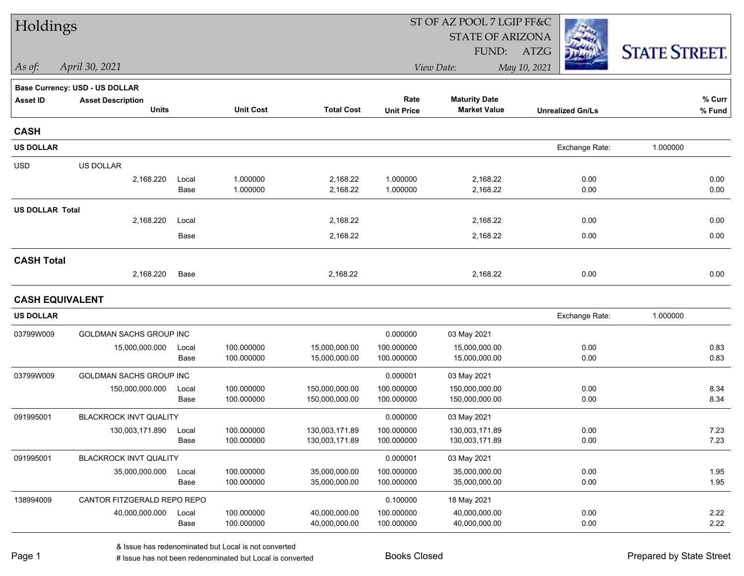| Holdings               |                                |       |                  |                   | ST OF AZ POOL 7 LGIP FF&C |                         |                         |                      |  |  |
|------------------------|--------------------------------|-------|------------------|-------------------|---------------------------|-------------------------|-------------------------|----------------------|--|--|
|                        |                                |       |                  |                   |                           | <b>STATE OF ARIZONA</b> |                         |                      |  |  |
|                        |                                |       |                  |                   |                           | FUND:                   | ATZG                    | <b>STATE STREET.</b> |  |  |
| As of:                 | April 30, 2021                 |       |                  |                   |                           | View Date:              | May 10, 2021            |                      |  |  |
|                        | Base Currency: USD - US DOLLAR |       |                  |                   |                           |                         |                         |                      |  |  |
| <b>Asset ID</b>        | <b>Asset Description</b>       |       |                  |                   | Rate                      | <b>Maturity Date</b>    |                         | % Curr               |  |  |
|                        | <b>Units</b>                   |       | <b>Unit Cost</b> | <b>Total Cost</b> | <b>Unit Price</b>         | <b>Market Value</b>     | <b>Unrealized Gn/Ls</b> | % Fund               |  |  |
| <b>CASH</b>            |                                |       |                  |                   |                           |                         |                         |                      |  |  |
| <b>US DOLLAR</b>       |                                |       |                  |                   |                           |                         | Exchange Rate:          | 1.000000             |  |  |
| <b>USD</b>             | US DOLLAR                      |       |                  |                   |                           |                         |                         |                      |  |  |
|                        | 2,168.220                      | Local | 1.000000         | 2,168.22          | 1.000000                  | 2,168.22                | 0.00                    | 0.00                 |  |  |
|                        |                                | Base  | 1.000000         | 2,168.22          | 1.000000                  | 2,168.22                | 0.00                    | 0.00                 |  |  |
| <b>US DOLLAR Total</b> |                                |       |                  |                   |                           |                         |                         |                      |  |  |
|                        | 2,168.220                      | Local |                  | 2,168.22          |                           | 2,168.22                | 0.00                    | 0.00                 |  |  |
|                        |                                | Base  |                  | 2,168.22          |                           | 2,168.22                | 0.00                    | 0.00                 |  |  |
| <b>CASH Total</b>      |                                |       |                  |                   |                           |                         |                         |                      |  |  |
|                        | 2,168.220                      | Base  |                  | 2,168.22          |                           | 2,168.22                | 0.00                    | 0.00                 |  |  |
| <b>CASH EQUIVALENT</b> |                                |       |                  |                   |                           |                         |                         |                      |  |  |
| <b>US DOLLAR</b>       |                                |       |                  |                   |                           |                         | Exchange Rate:          | 1.000000             |  |  |
| 03799W009              | GOLDMAN SACHS GROUP INC        |       |                  |                   | 0.000000                  | 03 May 2021             |                         |                      |  |  |
|                        | 15,000,000.000                 | Local | 100.000000       | 15,000,000.00     | 100.000000                | 15,000,000.00           | 0.00                    | 0.83                 |  |  |
|                        |                                | Base  | 100.000000       | 15,000,000.00     | 100.000000                | 15,000,000.00           | 0.00                    | 0.83                 |  |  |
| 03799W009              | GOLDMAN SACHS GROUP INC        |       |                  |                   | 0.000001                  | 03 May 2021             |                         |                      |  |  |
|                        | 150,000,000.000                | Local | 100.000000       | 150,000,000.00    | 100.000000                | 150,000,000.00          | 0.00                    | 8.34                 |  |  |
|                        |                                | Base  | 100.000000       | 150,000,000.00    | 100.000000                | 150,000,000.00          | 0.00                    | 8.34                 |  |  |
| 091995001              | <b>BLACKROCK INVT QUALITY</b>  |       |                  |                   | 0.000000                  | 03 May 2021             |                         |                      |  |  |
|                        | 130,003,171.890                | Local | 100.000000       | 130,003,171.89    | 100.000000                | 130,003,171.89          | 0.00                    | 7.23                 |  |  |
|                        |                                | Base  | 100.000000       | 130,003,171.89    | 100.000000                | 130,003,171.89          | 0.00                    | 7.23                 |  |  |
| 091995001              | BLACKROCK INVT QUALITY         |       |                  |                   | 0.000001                  | 03 May 2021             |                         |                      |  |  |
|                        | 35,000,000.000                 | Local | 100.000000       | 35,000,000.00     | 100.000000                | 35,000,000.00           | 0.00                    | 1.95                 |  |  |
|                        |                                | Base  | 100.000000       | 35,000,000.00     | 100.000000                | 35,000,000.00           | 0.00                    | 1.95                 |  |  |
| 138994009              | CANTOR FITZGERALD REPO REPO    |       |                  |                   | 0.100000                  | 18 May 2021             |                         |                      |  |  |
|                        | 40,000,000.000                 | Local | 100.000000       | 40,000,000.00     | 100.000000                | 40,000,000.00           | 0.00                    | 2.22                 |  |  |
|                        |                                | Base  | 100.000000       | 40,000,000.00     | 100.000000                | 40,000,000.00           | 0.00                    | 2.22                 |  |  |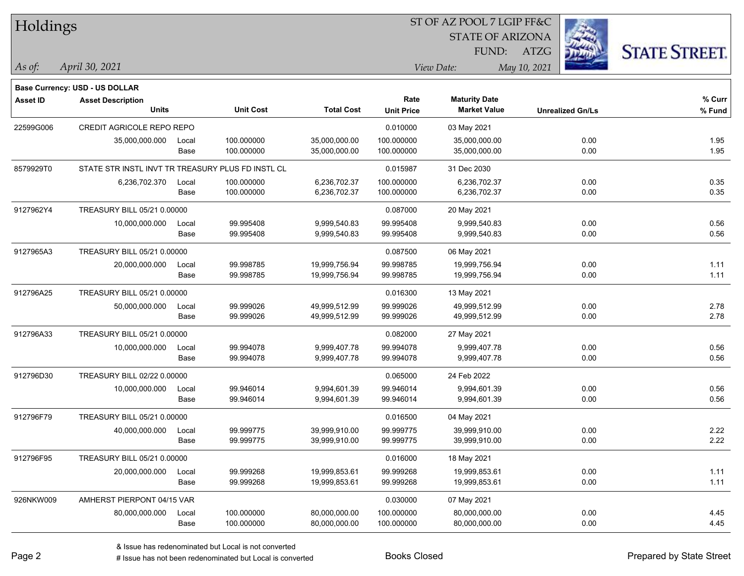| Holdings        |                                                   |       |                  |                   |                   | ST OF AZ POOL 7 LGIP FF&C |                         |                      |
|-----------------|---------------------------------------------------|-------|------------------|-------------------|-------------------|---------------------------|-------------------------|----------------------|
|                 |                                                   |       |                  |                   |                   | <b>STATE OF ARIZONA</b>   |                         |                      |
|                 |                                                   |       |                  |                   |                   | FUND:                     | ATZG                    | <b>STATE STREET.</b> |
| $\vert$ As of:  | April 30, 2021                                    |       |                  |                   |                   | View Date:                | May 10, 2021            |                      |
|                 |                                                   |       |                  |                   |                   |                           |                         |                      |
|                 | Base Currency: USD - US DOLLAR                    |       |                  |                   | Rate              | <b>Maturity Date</b>      |                         | % Curr               |
| <b>Asset ID</b> | <b>Asset Description</b><br><b>Units</b>          |       | <b>Unit Cost</b> | <b>Total Cost</b> | <b>Unit Price</b> | <b>Market Value</b>       | <b>Unrealized Gn/Ls</b> | % Fund               |
| 22599G006       | CREDIT AGRICOLE REPO REPO                         |       |                  |                   | 0.010000          | 03 May 2021               |                         |                      |
|                 | 35,000,000.000                                    | Local | 100.000000       | 35,000,000.00     | 100.000000        | 35,000,000.00             | 0.00                    | 1.95                 |
|                 |                                                   | Base  | 100.000000       | 35,000,000.00     | 100.000000        | 35,000,000.00             | 0.00                    | 1.95                 |
| 8579929T0       | STATE STR INSTL INVT TR TREASURY PLUS FD INSTL CL |       |                  |                   | 0.015987          | 31 Dec 2030               |                         |                      |
|                 | 6,236,702.370                                     | Local | 100.000000       | 6,236,702.37      | 100.000000        | 6,236,702.37              | 0.00                    | 0.35                 |
|                 |                                                   | Base  | 100.000000       | 6,236,702.37      | 100.000000        | 6,236,702.37              | 0.00                    | 0.35                 |
| 9127962Y4       | TREASURY BILL 05/21 0.00000                       |       |                  |                   | 0.087000          | 20 May 2021               |                         |                      |
|                 | 10,000,000.000                                    | Local | 99.995408        | 9,999,540.83      | 99.995408         | 9,999,540.83              | 0.00                    | 0.56                 |
|                 |                                                   | Base  | 99.995408        | 9,999,540.83      | 99.995408         | 9,999,540.83              | 0.00                    | 0.56                 |
| 9127965A3       | TREASURY BILL 05/21 0.00000                       |       |                  |                   | 0.087500          | 06 May 2021               |                         |                      |
|                 | 20,000,000.000                                    | Local | 99.998785        | 19,999,756.94     | 99.998785         | 19,999,756.94             | 0.00                    | 1.11                 |
|                 |                                                   | Base  | 99.998785        | 19,999,756.94     | 99.998785         | 19,999,756.94             | 0.00                    | 1.11                 |
| 912796A25       | TREASURY BILL 05/21 0.00000                       |       |                  |                   | 0.016300          | 13 May 2021               |                         |                      |
|                 | 50,000,000.000                                    | Local | 99.999026        | 49,999,512.99     | 99.999026         | 49,999,512.99             | 0.00                    | 2.78                 |
|                 |                                                   | Base  | 99.999026        | 49,999,512.99     | 99.999026         | 49,999,512.99             | 0.00                    | 2.78                 |
| 912796A33       | TREASURY BILL 05/21 0.00000                       |       |                  |                   | 0.082000          | 27 May 2021               |                         |                      |
|                 | 10,000,000.000                                    | Local | 99.994078        | 9,999,407.78      | 99.994078         | 9,999,407.78              | 0.00                    | 0.56                 |
|                 |                                                   | Base  | 99.994078        | 9,999,407.78      | 99.994078         | 9,999,407.78              | 0.00                    | 0.56                 |
| 912796D30       | TREASURY BILL 02/22 0.00000                       |       |                  |                   | 0.065000          | 24 Feb 2022               |                         |                      |
|                 | 10,000,000.000                                    | Local | 99.946014        | 9,994,601.39      | 99.946014         | 9,994,601.39              | 0.00                    | 0.56                 |
|                 |                                                   | Base  | 99.946014        | 9,994,601.39      | 99.946014         | 9,994,601.39              | 0.00                    | 0.56                 |
| 912796F79       | TREASURY BILL 05/21 0.00000                       |       |                  |                   | 0.016500          | 04 May 2021               |                         |                      |
|                 | 40,000,000.000                                    | Local | 99.999775        | 39,999,910.00     | 99.999775         | 39,999,910.00             | 0.00                    | 2.22                 |
|                 |                                                   | Base  | 99.999775        | 39,999,910.00     | 99.999775         | 39,999,910.00             | 0.00                    | 2.22                 |
| 912796F95       | TREASURY BILL 05/21 0.00000                       |       |                  |                   | 0.016000          | 18 May 2021               |                         |                      |
|                 | 20,000,000.000                                    | Local | 99.999268        | 19,999,853.61     | 99.999268         | 19,999,853.61             | 0.00                    | 1.11                 |
|                 |                                                   | Base  | 99.999268        | 19,999,853.61     | 99.999268         | 19,999,853.61             | 0.00                    | 1.11                 |
| 926NKW009       | AMHERST PIERPONT 04/15 VAR                        |       |                  |                   | 0.030000          | 07 May 2021               |                         |                      |
|                 | 80,000,000.000                                    | Local | 100.000000       | 80,000,000.00     | 100.000000        | 80,000,000.00             | 0.00                    | 4.45                 |
|                 |                                                   | Base  | 100.000000       | 80,000,000.00     | 100.000000        | 80,000,000.00             | 0.00                    | 4.45                 |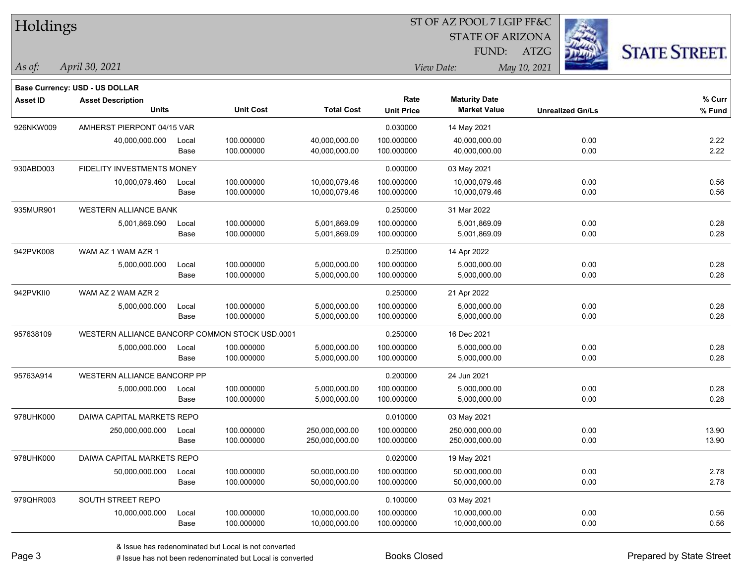| Holdings        |                                                |       |                  |                   | ST OF AZ POOL 7 LGIP FF&C |                                             |                         |                      |  |  |
|-----------------|------------------------------------------------|-------|------------------|-------------------|---------------------------|---------------------------------------------|-------------------------|----------------------|--|--|
|                 |                                                |       |                  |                   |                           | <b>STATE OF ARIZONA</b>                     |                         |                      |  |  |
|                 |                                                |       |                  |                   |                           | FUND:                                       | ATZG                    | <b>STATE STREET.</b> |  |  |
| As of:          | April 30, 2021                                 |       |                  |                   | View Date:                |                                             |                         |                      |  |  |
|                 |                                                |       |                  |                   |                           |                                             | May 10, 2021            |                      |  |  |
|                 | <b>Base Currency: USD - US DOLLAR</b>          |       |                  |                   |                           |                                             |                         |                      |  |  |
| <b>Asset ID</b> | <b>Asset Description</b><br><b>Units</b>       |       | <b>Unit Cost</b> | <b>Total Cost</b> | Rate<br><b>Unit Price</b> | <b>Maturity Date</b><br><b>Market Value</b> | <b>Unrealized Gn/Ls</b> | % Curr<br>% Fund     |  |  |
| 926NKW009       | AMHERST PIERPONT 04/15 VAR                     |       |                  |                   | 0.030000                  | 14 May 2021                                 |                         |                      |  |  |
|                 | 40,000,000.000                                 | Local | 100.000000       | 40,000,000.00     | 100.000000                | 40,000,000.00                               | 0.00                    | 2.22                 |  |  |
|                 |                                                | Base  | 100.000000       | 40,000,000.00     | 100.000000                | 40,000,000.00                               | 0.00                    | 2.22                 |  |  |
| 930ABD003       | FIDELITY INVESTMENTS MONEY                     |       |                  |                   | 0.000000                  | 03 May 2021                                 |                         |                      |  |  |
|                 | 10,000,079.460                                 | Local | 100.000000       | 10,000,079.46     | 100.000000                | 10,000,079.46                               | 0.00                    | 0.56                 |  |  |
|                 |                                                | Base  | 100.000000       | 10,000,079.46     | 100.000000                | 10,000,079.46                               | 0.00                    | 0.56                 |  |  |
| 935MUR901       | <b>WESTERN ALLIANCE BANK</b>                   |       |                  |                   | 0.250000                  | 31 Mar 2022                                 |                         |                      |  |  |
|                 | 5,001,869.090                                  | Local | 100.000000       | 5,001,869.09      | 100.000000                | 5,001,869.09                                | 0.00                    | 0.28                 |  |  |
|                 |                                                | Base  | 100.000000       | 5,001,869.09      | 100.000000                | 5,001,869.09                                | 0.00                    | 0.28                 |  |  |
| 942PVK008       | WAM AZ 1 WAM AZR 1                             |       |                  |                   | 0.250000                  | 14 Apr 2022                                 |                         |                      |  |  |
|                 | 5,000,000.000                                  | Local | 100.000000       | 5,000,000.00      | 100.000000                | 5,000,000.00                                | 0.00                    | 0.28                 |  |  |
|                 |                                                | Base  | 100.000000       | 5,000,000.00      | 100.000000                | 5,000,000.00                                | 0.00                    | 0.28                 |  |  |
| 942PVKII0       | WAM AZ 2 WAM AZR 2                             |       |                  |                   | 0.250000                  | 21 Apr 2022                                 |                         |                      |  |  |
|                 | 5,000,000.000                                  | Local | 100.000000       | 5,000,000.00      | 100.000000                | 5,000,000.00                                | 0.00                    | 0.28                 |  |  |
|                 |                                                | Base  | 100.000000       | 5,000,000.00      | 100.000000                | 5,000,000.00                                | 0.00                    | 0.28                 |  |  |
| 957638109       | WESTERN ALLIANCE BANCORP COMMON STOCK USD.0001 |       |                  |                   | 0.250000                  | 16 Dec 2021                                 |                         |                      |  |  |
|                 | 5,000,000.000                                  | Local | 100.000000       | 5,000,000.00      | 100.000000                | 5,000,000.00                                | 0.00                    | 0.28                 |  |  |
|                 |                                                | Base  | 100.000000       | 5,000,000.00      | 100.000000                | 5,000,000.00                                | 0.00                    | 0.28                 |  |  |
| 95763A914       | WESTERN ALLIANCE BANCORP PP                    |       |                  |                   | 0.200000                  | 24 Jun 2021                                 |                         |                      |  |  |
|                 | 5,000,000.000                                  | Local | 100.000000       | 5,000,000.00      | 100.000000                | 5,000,000.00                                | 0.00                    | 0.28                 |  |  |
|                 |                                                | Base  | 100.000000       | 5,000,000.00      | 100.000000                | 5,000,000.00                                | 0.00                    | 0.28                 |  |  |
| 978UHK000       | DAIWA CAPITAL MARKETS REPO                     |       |                  |                   | 0.010000                  | 03 May 2021                                 |                         |                      |  |  |
|                 | 250,000,000.000                                | Local | 100.000000       | 250,000,000.00    | 100.000000                | 250,000,000.00                              | 0.00                    | 13.90                |  |  |
|                 |                                                | Base  | 100.000000       | 250,000,000.00    | 100.000000                | 250,000,000.00                              | 0.00                    | 13.90                |  |  |
| 978UHK000       | DAIWA CAPITAL MARKETS REPO                     |       |                  |                   | 0.020000                  | 19 May 2021                                 |                         |                      |  |  |
|                 | 50,000,000.000                                 | Local | 100.000000       | 50,000,000.00     | 100.000000                | 50,000,000.00                               | 0.00                    | 2.78                 |  |  |
|                 |                                                | Base  | 100.000000       | 50,000,000.00     | 100.000000                | 50,000,000.00                               | 0.00                    | 2.78                 |  |  |
| 979QHR003       | SOUTH STREET REPO                              |       |                  |                   | 0.100000                  | 03 May 2021                                 |                         |                      |  |  |
|                 | 10,000,000.000                                 | Local | 100.000000       | 10,000,000.00     | 100.000000                | 10,000,000.00                               | 0.00                    | 0.56                 |  |  |
|                 |                                                | Base  | 100.000000       | 10,000,000.00     | 100.000000                | 10,000,000.00                               | 0.00                    | 0.56                 |  |  |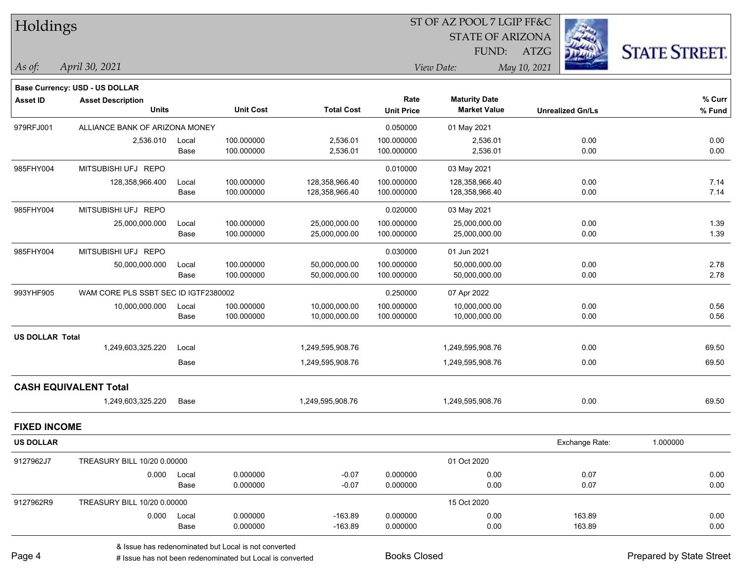| <b>STATE OF ARIZONA</b><br><b>STATE STREET.</b><br>FUND:<br>ATZG<br>April 30, 2021<br>View Date:<br>As of:<br>May 10, 2021<br><b>Base Currency: USD - US DOLLAR</b><br>Rate<br>% Curr<br><b>Maturity Date</b><br><b>Asset ID</b><br><b>Asset Description</b><br><b>Units</b><br><b>Unit Cost</b><br><b>Total Cost</b><br><b>Market Value</b><br><b>Unit Price</b><br><b>Unrealized Gn/Ls</b><br>$%$ Fund<br>ALLIANCE BANK OF ARIZONA MONEY<br>979RFJ001<br>0.050000<br>01 May 2021<br>100.000000<br>2,536.01<br>0.00<br>0.00<br>2,536.010<br>100.000000<br>2,536.01<br>Local<br>Base<br>100.000000<br>2,536.01<br>100.000000<br>2,536.01<br>0.00<br>0.00<br>MITSUBISHI UFJ REPO<br>985FHY004<br>0.010000<br>03 May 2021<br>100.000000<br>7.14<br>128,358,966.400<br>128,358,966.40<br>100.000000<br>128,358,966.40<br>0.00<br>Local<br>7.14<br>0.00<br>Base<br>100.000000<br>100.000000<br>128,358,966.40<br>128,358,966.40<br>MITSUBISHI UFJ REPO<br>985FHY004<br>0.020000<br>03 May 2021<br>1.39<br>25,000,000.000<br>Local<br>100.000000<br>25,000,000.00<br>100.000000<br>25,000,000.00<br>0.00<br>1.39<br>100.000000<br>25,000,000.00<br>0.00<br>Base<br>25,000,000.00<br>100.000000<br>985FHY004<br>MITSUBISHI UFJ REPO<br>0.030000<br>01 Jun 2021<br>2.78<br>100.000000<br>100.000000<br>0.00<br>50,000,000.00<br>50,000,000.00<br>50,000,000.000<br>Local<br>100.000000<br>50,000,000.00<br>100.000000<br>50,000,000.00<br>0.00<br>2.78<br>Base<br>993YHF905<br>WAM CORE PLS SSBT SEC ID IGTF2380002<br>0.250000<br>07 Apr 2022<br>100.000000<br>0.56<br>10,000,000.000<br>10,000,000.00<br>100.000000<br>10,000,000.00<br>0.00<br>Local<br>0.00<br>0.56<br>100.000000<br>100.000000<br>10,000,000.00<br>Base<br>10,000,000.00<br><b>US DOLLAR Total</b><br>69.50<br>1,249,603,325.220<br>1,249,595,908.76<br>1,249,595,908.76<br>0.00<br>Local<br>69.50<br>Base<br>1,249,595,908.76<br>1,249,595,908.76<br>0.00<br><b>CASH EQUIVALENT Total</b><br>69.50<br>1,249,603,325.220<br>Base<br>1,249,595,908.76<br>1,249,595,908.76<br>0.00<br><b>FIXED INCOME</b><br><b>US DOLLAR</b><br>Exchange Rate:<br>1.000000<br>01 Oct 2020<br>9127962J7<br>TREASURY BILL 10/20 0.00000<br>0.07<br>0.000<br>0.000000<br>$-0.07$<br>0.000000<br>0.00<br>0.00<br>Local<br>0.000000<br>$-0.07$<br>0.000000<br>0.00<br>0.07<br>0.00<br>Base<br>15 Oct 2020<br>9127962R9<br>TREASURY BILL 10/20 0.00000<br>0.000000<br>$-163.89$<br>0.000000<br>0.00<br>163.89<br>0.000<br>0.00<br>Local<br>Base<br>$-163.89$<br>163.89<br>0.00<br>0.000000<br>0.000000<br>0.00 | Holdings |  |  | ST OF AZ POOL 7 LGIP FF&C |  |  |  |
|-------------------------------------------------------------------------------------------------------------------------------------------------------------------------------------------------------------------------------------------------------------------------------------------------------------------------------------------------------------------------------------------------------------------------------------------------------------------------------------------------------------------------------------------------------------------------------------------------------------------------------------------------------------------------------------------------------------------------------------------------------------------------------------------------------------------------------------------------------------------------------------------------------------------------------------------------------------------------------------------------------------------------------------------------------------------------------------------------------------------------------------------------------------------------------------------------------------------------------------------------------------------------------------------------------------------------------------------------------------------------------------------------------------------------------------------------------------------------------------------------------------------------------------------------------------------------------------------------------------------------------------------------------------------------------------------------------------------------------------------------------------------------------------------------------------------------------------------------------------------------------------------------------------------------------------------------------------------------------------------------------------------------------------------------------------------------------------------------------------------------------------------------------------------------------------------------------------------------------------------------------------------------------------------------------------------------------------------------------------------------------------------------------------------------------------------------------------------------------------------------------------------------------------------------------|----------|--|--|---------------------------|--|--|--|
|                                                                                                                                                                                                                                                                                                                                                                                                                                                                                                                                                                                                                                                                                                                                                                                                                                                                                                                                                                                                                                                                                                                                                                                                                                                                                                                                                                                                                                                                                                                                                                                                                                                                                                                                                                                                                                                                                                                                                                                                                                                                                                                                                                                                                                                                                                                                                                                                                                                                                                                                                       |          |  |  |                           |  |  |  |
|                                                                                                                                                                                                                                                                                                                                                                                                                                                                                                                                                                                                                                                                                                                                                                                                                                                                                                                                                                                                                                                                                                                                                                                                                                                                                                                                                                                                                                                                                                                                                                                                                                                                                                                                                                                                                                                                                                                                                                                                                                                                                                                                                                                                                                                                                                                                                                                                                                                                                                                                                       |          |  |  |                           |  |  |  |
|                                                                                                                                                                                                                                                                                                                                                                                                                                                                                                                                                                                                                                                                                                                                                                                                                                                                                                                                                                                                                                                                                                                                                                                                                                                                                                                                                                                                                                                                                                                                                                                                                                                                                                                                                                                                                                                                                                                                                                                                                                                                                                                                                                                                                                                                                                                                                                                                                                                                                                                                                       |          |  |  |                           |  |  |  |
|                                                                                                                                                                                                                                                                                                                                                                                                                                                                                                                                                                                                                                                                                                                                                                                                                                                                                                                                                                                                                                                                                                                                                                                                                                                                                                                                                                                                                                                                                                                                                                                                                                                                                                                                                                                                                                                                                                                                                                                                                                                                                                                                                                                                                                                                                                                                                                                                                                                                                                                                                       |          |  |  |                           |  |  |  |
|                                                                                                                                                                                                                                                                                                                                                                                                                                                                                                                                                                                                                                                                                                                                                                                                                                                                                                                                                                                                                                                                                                                                                                                                                                                                                                                                                                                                                                                                                                                                                                                                                                                                                                                                                                                                                                                                                                                                                                                                                                                                                                                                                                                                                                                                                                                                                                                                                                                                                                                                                       |          |  |  |                           |  |  |  |
|                                                                                                                                                                                                                                                                                                                                                                                                                                                                                                                                                                                                                                                                                                                                                                                                                                                                                                                                                                                                                                                                                                                                                                                                                                                                                                                                                                                                                                                                                                                                                                                                                                                                                                                                                                                                                                                                                                                                                                                                                                                                                                                                                                                                                                                                                                                                                                                                                                                                                                                                                       |          |  |  |                           |  |  |  |
|                                                                                                                                                                                                                                                                                                                                                                                                                                                                                                                                                                                                                                                                                                                                                                                                                                                                                                                                                                                                                                                                                                                                                                                                                                                                                                                                                                                                                                                                                                                                                                                                                                                                                                                                                                                                                                                                                                                                                                                                                                                                                                                                                                                                                                                                                                                                                                                                                                                                                                                                                       |          |  |  |                           |  |  |  |
|                                                                                                                                                                                                                                                                                                                                                                                                                                                                                                                                                                                                                                                                                                                                                                                                                                                                                                                                                                                                                                                                                                                                                                                                                                                                                                                                                                                                                                                                                                                                                                                                                                                                                                                                                                                                                                                                                                                                                                                                                                                                                                                                                                                                                                                                                                                                                                                                                                                                                                                                                       |          |  |  |                           |  |  |  |
|                                                                                                                                                                                                                                                                                                                                                                                                                                                                                                                                                                                                                                                                                                                                                                                                                                                                                                                                                                                                                                                                                                                                                                                                                                                                                                                                                                                                                                                                                                                                                                                                                                                                                                                                                                                                                                                                                                                                                                                                                                                                                                                                                                                                                                                                                                                                                                                                                                                                                                                                                       |          |  |  |                           |  |  |  |
|                                                                                                                                                                                                                                                                                                                                                                                                                                                                                                                                                                                                                                                                                                                                                                                                                                                                                                                                                                                                                                                                                                                                                                                                                                                                                                                                                                                                                                                                                                                                                                                                                                                                                                                                                                                                                                                                                                                                                                                                                                                                                                                                                                                                                                                                                                                                                                                                                                                                                                                                                       |          |  |  |                           |  |  |  |
|                                                                                                                                                                                                                                                                                                                                                                                                                                                                                                                                                                                                                                                                                                                                                                                                                                                                                                                                                                                                                                                                                                                                                                                                                                                                                                                                                                                                                                                                                                                                                                                                                                                                                                                                                                                                                                                                                                                                                                                                                                                                                                                                                                                                                                                                                                                                                                                                                                                                                                                                                       |          |  |  |                           |  |  |  |
|                                                                                                                                                                                                                                                                                                                                                                                                                                                                                                                                                                                                                                                                                                                                                                                                                                                                                                                                                                                                                                                                                                                                                                                                                                                                                                                                                                                                                                                                                                                                                                                                                                                                                                                                                                                                                                                                                                                                                                                                                                                                                                                                                                                                                                                                                                                                                                                                                                                                                                                                                       |          |  |  |                           |  |  |  |
|                                                                                                                                                                                                                                                                                                                                                                                                                                                                                                                                                                                                                                                                                                                                                                                                                                                                                                                                                                                                                                                                                                                                                                                                                                                                                                                                                                                                                                                                                                                                                                                                                                                                                                                                                                                                                                                                                                                                                                                                                                                                                                                                                                                                                                                                                                                                                                                                                                                                                                                                                       |          |  |  |                           |  |  |  |
|                                                                                                                                                                                                                                                                                                                                                                                                                                                                                                                                                                                                                                                                                                                                                                                                                                                                                                                                                                                                                                                                                                                                                                                                                                                                                                                                                                                                                                                                                                                                                                                                                                                                                                                                                                                                                                                                                                                                                                                                                                                                                                                                                                                                                                                                                                                                                                                                                                                                                                                                                       |          |  |  |                           |  |  |  |
|                                                                                                                                                                                                                                                                                                                                                                                                                                                                                                                                                                                                                                                                                                                                                                                                                                                                                                                                                                                                                                                                                                                                                                                                                                                                                                                                                                                                                                                                                                                                                                                                                                                                                                                                                                                                                                                                                                                                                                                                                                                                                                                                                                                                                                                                                                                                                                                                                                                                                                                                                       |          |  |  |                           |  |  |  |
|                                                                                                                                                                                                                                                                                                                                                                                                                                                                                                                                                                                                                                                                                                                                                                                                                                                                                                                                                                                                                                                                                                                                                                                                                                                                                                                                                                                                                                                                                                                                                                                                                                                                                                                                                                                                                                                                                                                                                                                                                                                                                                                                                                                                                                                                                                                                                                                                                                                                                                                                                       |          |  |  |                           |  |  |  |
|                                                                                                                                                                                                                                                                                                                                                                                                                                                                                                                                                                                                                                                                                                                                                                                                                                                                                                                                                                                                                                                                                                                                                                                                                                                                                                                                                                                                                                                                                                                                                                                                                                                                                                                                                                                                                                                                                                                                                                                                                                                                                                                                                                                                                                                                                                                                                                                                                                                                                                                                                       |          |  |  |                           |  |  |  |
|                                                                                                                                                                                                                                                                                                                                                                                                                                                                                                                                                                                                                                                                                                                                                                                                                                                                                                                                                                                                                                                                                                                                                                                                                                                                                                                                                                                                                                                                                                                                                                                                                                                                                                                                                                                                                                                                                                                                                                                                                                                                                                                                                                                                                                                                                                                                                                                                                                                                                                                                                       |          |  |  |                           |  |  |  |
|                                                                                                                                                                                                                                                                                                                                                                                                                                                                                                                                                                                                                                                                                                                                                                                                                                                                                                                                                                                                                                                                                                                                                                                                                                                                                                                                                                                                                                                                                                                                                                                                                                                                                                                                                                                                                                                                                                                                                                                                                                                                                                                                                                                                                                                                                                                                                                                                                                                                                                                                                       |          |  |  |                           |  |  |  |
|                                                                                                                                                                                                                                                                                                                                                                                                                                                                                                                                                                                                                                                                                                                                                                                                                                                                                                                                                                                                                                                                                                                                                                                                                                                                                                                                                                                                                                                                                                                                                                                                                                                                                                                                                                                                                                                                                                                                                                                                                                                                                                                                                                                                                                                                                                                                                                                                                                                                                                                                                       |          |  |  |                           |  |  |  |
|                                                                                                                                                                                                                                                                                                                                                                                                                                                                                                                                                                                                                                                                                                                                                                                                                                                                                                                                                                                                                                                                                                                                                                                                                                                                                                                                                                                                                                                                                                                                                                                                                                                                                                                                                                                                                                                                                                                                                                                                                                                                                                                                                                                                                                                                                                                                                                                                                                                                                                                                                       |          |  |  |                           |  |  |  |
|                                                                                                                                                                                                                                                                                                                                                                                                                                                                                                                                                                                                                                                                                                                                                                                                                                                                                                                                                                                                                                                                                                                                                                                                                                                                                                                                                                                                                                                                                                                                                                                                                                                                                                                                                                                                                                                                                                                                                                                                                                                                                                                                                                                                                                                                                                                                                                                                                                                                                                                                                       |          |  |  |                           |  |  |  |
|                                                                                                                                                                                                                                                                                                                                                                                                                                                                                                                                                                                                                                                                                                                                                                                                                                                                                                                                                                                                                                                                                                                                                                                                                                                                                                                                                                                                                                                                                                                                                                                                                                                                                                                                                                                                                                                                                                                                                                                                                                                                                                                                                                                                                                                                                                                                                                                                                                                                                                                                                       |          |  |  |                           |  |  |  |
|                                                                                                                                                                                                                                                                                                                                                                                                                                                                                                                                                                                                                                                                                                                                                                                                                                                                                                                                                                                                                                                                                                                                                                                                                                                                                                                                                                                                                                                                                                                                                                                                                                                                                                                                                                                                                                                                                                                                                                                                                                                                                                                                                                                                                                                                                                                                                                                                                                                                                                                                                       |          |  |  |                           |  |  |  |
|                                                                                                                                                                                                                                                                                                                                                                                                                                                                                                                                                                                                                                                                                                                                                                                                                                                                                                                                                                                                                                                                                                                                                                                                                                                                                                                                                                                                                                                                                                                                                                                                                                                                                                                                                                                                                                                                                                                                                                                                                                                                                                                                                                                                                                                                                                                                                                                                                                                                                                                                                       |          |  |  |                           |  |  |  |
|                                                                                                                                                                                                                                                                                                                                                                                                                                                                                                                                                                                                                                                                                                                                                                                                                                                                                                                                                                                                                                                                                                                                                                                                                                                                                                                                                                                                                                                                                                                                                                                                                                                                                                                                                                                                                                                                                                                                                                                                                                                                                                                                                                                                                                                                                                                                                                                                                                                                                                                                                       |          |  |  |                           |  |  |  |
|                                                                                                                                                                                                                                                                                                                                                                                                                                                                                                                                                                                                                                                                                                                                                                                                                                                                                                                                                                                                                                                                                                                                                                                                                                                                                                                                                                                                                                                                                                                                                                                                                                                                                                                                                                                                                                                                                                                                                                                                                                                                                                                                                                                                                                                                                                                                                                                                                                                                                                                                                       |          |  |  |                           |  |  |  |
|                                                                                                                                                                                                                                                                                                                                                                                                                                                                                                                                                                                                                                                                                                                                                                                                                                                                                                                                                                                                                                                                                                                                                                                                                                                                                                                                                                                                                                                                                                                                                                                                                                                                                                                                                                                                                                                                                                                                                                                                                                                                                                                                                                                                                                                                                                                                                                                                                                                                                                                                                       |          |  |  |                           |  |  |  |
|                                                                                                                                                                                                                                                                                                                                                                                                                                                                                                                                                                                                                                                                                                                                                                                                                                                                                                                                                                                                                                                                                                                                                                                                                                                                                                                                                                                                                                                                                                                                                                                                                                                                                                                                                                                                                                                                                                                                                                                                                                                                                                                                                                                                                                                                                                                                                                                                                                                                                                                                                       |          |  |  |                           |  |  |  |
|                                                                                                                                                                                                                                                                                                                                                                                                                                                                                                                                                                                                                                                                                                                                                                                                                                                                                                                                                                                                                                                                                                                                                                                                                                                                                                                                                                                                                                                                                                                                                                                                                                                                                                                                                                                                                                                                                                                                                                                                                                                                                                                                                                                                                                                                                                                                                                                                                                                                                                                                                       |          |  |  |                           |  |  |  |
|                                                                                                                                                                                                                                                                                                                                                                                                                                                                                                                                                                                                                                                                                                                                                                                                                                                                                                                                                                                                                                                                                                                                                                                                                                                                                                                                                                                                                                                                                                                                                                                                                                                                                                                                                                                                                                                                                                                                                                                                                                                                                                                                                                                                                                                                                                                                                                                                                                                                                                                                                       |          |  |  |                           |  |  |  |
|                                                                                                                                                                                                                                                                                                                                                                                                                                                                                                                                                                                                                                                                                                                                                                                                                                                                                                                                                                                                                                                                                                                                                                                                                                                                                                                                                                                                                                                                                                                                                                                                                                                                                                                                                                                                                                                                                                                                                                                                                                                                                                                                                                                                                                                                                                                                                                                                                                                                                                                                                       |          |  |  |                           |  |  |  |
|                                                                                                                                                                                                                                                                                                                                                                                                                                                                                                                                                                                                                                                                                                                                                                                                                                                                                                                                                                                                                                                                                                                                                                                                                                                                                                                                                                                                                                                                                                                                                                                                                                                                                                                                                                                                                                                                                                                                                                                                                                                                                                                                                                                                                                                                                                                                                                                                                                                                                                                                                       |          |  |  |                           |  |  |  |
|                                                                                                                                                                                                                                                                                                                                                                                                                                                                                                                                                                                                                                                                                                                                                                                                                                                                                                                                                                                                                                                                                                                                                                                                                                                                                                                                                                                                                                                                                                                                                                                                                                                                                                                                                                                                                                                                                                                                                                                                                                                                                                                                                                                                                                                                                                                                                                                                                                                                                                                                                       |          |  |  |                           |  |  |  |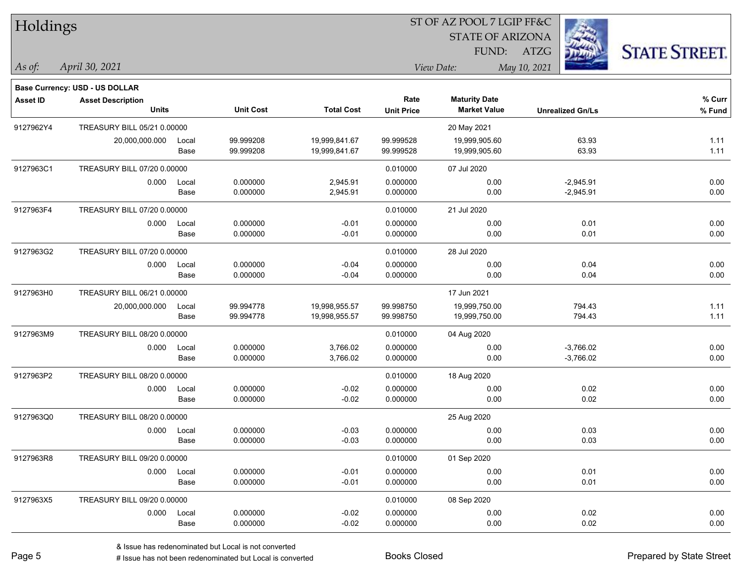| Holdings        |                                                                   |       |                  | ST OF AZ POOL 7 LGIP FF&C |                   |                         |                         |                      |  |  |
|-----------------|-------------------------------------------------------------------|-------|------------------|---------------------------|-------------------|-------------------------|-------------------------|----------------------|--|--|
|                 |                                                                   |       |                  |                           |                   | <b>STATE OF ARIZONA</b> |                         |                      |  |  |
|                 |                                                                   |       |                  |                           |                   | FUND:                   | ATZG                    | <b>STATE STREET.</b> |  |  |
| As of:          | April 30, 2021                                                    |       |                  |                           |                   | View Date:              | May 10, 2021            |                      |  |  |
|                 |                                                                   |       |                  |                           |                   |                         |                         |                      |  |  |
| <b>Asset ID</b> | <b>Base Currency: USD - US DOLLAR</b><br><b>Asset Description</b> |       |                  |                           | Rate              | <b>Maturity Date</b>    |                         | % Curr               |  |  |
|                 | <b>Units</b>                                                      |       | <b>Unit Cost</b> | <b>Total Cost</b>         | <b>Unit Price</b> | <b>Market Value</b>     | <b>Unrealized Gn/Ls</b> | % Fund               |  |  |
| 9127962Y4       | TREASURY BILL 05/21 0.00000                                       |       |                  |                           |                   | 20 May 2021             |                         |                      |  |  |
|                 | 20,000,000.000                                                    | Local | 99.999208        | 19,999,841.67             | 99.999528         | 19,999,905.60           | 63.93                   | 1.11                 |  |  |
|                 |                                                                   | Base  | 99.999208        | 19,999,841.67             | 99.999528         | 19,999,905.60           | 63.93                   | 1.11                 |  |  |
| 9127963C1       | TREASURY BILL 07/20 0.00000                                       |       |                  |                           | 0.010000          | 07 Jul 2020             |                         |                      |  |  |
|                 | 0.000                                                             | Local | 0.000000         | 2,945.91                  | 0.000000          | 0.00                    | $-2,945.91$             | 0.00                 |  |  |
|                 |                                                                   | Base  | 0.000000         | 2,945.91                  | 0.000000          | 0.00                    | $-2,945.91$             | 0.00                 |  |  |
| 9127963F4       | TREASURY BILL 07/20 0.00000                                       |       |                  |                           | 0.010000          | 21 Jul 2020             |                         |                      |  |  |
|                 | 0.000                                                             | Local | 0.000000         | $-0.01$                   | 0.000000          | 0.00                    | 0.01                    | 0.00                 |  |  |
|                 |                                                                   | Base  | 0.000000         | $-0.01$                   | 0.000000          | 0.00                    | 0.01                    | 0.00                 |  |  |
| 9127963G2       | TREASURY BILL 07/20 0.00000                                       |       |                  |                           | 0.010000          | 28 Jul 2020             |                         |                      |  |  |
|                 | 0.000                                                             | Local | 0.000000         | $-0.04$                   | 0.000000          | 0.00                    | 0.04                    | 0.00                 |  |  |
|                 |                                                                   | Base  | 0.000000         | $-0.04$                   | 0.000000          | 0.00                    | 0.04                    | 0.00                 |  |  |
| 9127963H0       | TREASURY BILL 06/21 0.00000                                       |       |                  |                           |                   | 17 Jun 2021             |                         |                      |  |  |
|                 | 20,000,000.000                                                    | Local | 99.994778        | 19,998,955.57             | 99.998750         | 19,999,750.00           | 794.43                  | 1.11                 |  |  |
|                 |                                                                   | Base  | 99.994778        | 19,998,955.57             | 99.998750         | 19,999,750.00           | 794.43                  | 1.11                 |  |  |
| 9127963M9       | TREASURY BILL 08/20 0.00000                                       |       |                  |                           | 0.010000          | 04 Aug 2020             |                         |                      |  |  |
|                 | 0.000                                                             | Local | 0.000000         | 3,766.02                  | 0.000000          | 0.00                    | $-3,766.02$             | 0.00                 |  |  |
|                 |                                                                   | Base  | 0.000000         | 3,766.02                  | 0.000000          | 0.00                    | $-3,766.02$             | 0.00                 |  |  |
| 9127963P2       | TREASURY BILL 08/20 0.00000                                       |       |                  |                           | 0.010000          | 18 Aug 2020             |                         |                      |  |  |
|                 | 0.000                                                             | Local | 0.000000         | $-0.02$                   | 0.000000          | 0.00                    | 0.02                    | 0.00                 |  |  |
|                 |                                                                   | Base  | 0.000000         | $-0.02$                   | 0.000000          | 0.00                    | 0.02                    | 0.00                 |  |  |
| 9127963Q0       | TREASURY BILL 08/20 0.00000                                       |       |                  |                           |                   | 25 Aug 2020             |                         |                      |  |  |
|                 | 0.000                                                             | Local | 0.000000         | $-0.03$                   | 0.000000          | 0.00                    | 0.03                    | 0.00                 |  |  |
|                 |                                                                   | Base  | 0.000000         | $-0.03$                   | 0.000000          | 0.00                    | 0.03                    | 0.00                 |  |  |
| 9127963R8       | TREASURY BILL 09/20 0.00000                                       |       |                  |                           | 0.010000          | 01 Sep 2020             |                         |                      |  |  |
|                 | 0.000                                                             | Local | 0.000000         | $-0.01$                   | 0.000000          | 0.00                    | 0.01                    | 0.00                 |  |  |
|                 |                                                                   | Base  | 0.000000         | $-0.01$                   | 0.000000          | 0.00                    | 0.01                    | 0.00                 |  |  |
| 9127963X5       | TREASURY BILL 09/20 0.00000                                       |       |                  |                           | 0.010000          | 08 Sep 2020             |                         |                      |  |  |
|                 | 0.000                                                             | Local | 0.000000         | $-0.02$                   | 0.000000          | 0.00                    | 0.02                    | 0.00                 |  |  |
|                 |                                                                   | Base  | 0.000000         | $-0.02$                   | 0.000000          | 0.00                    | 0.02                    | 0.00                 |  |  |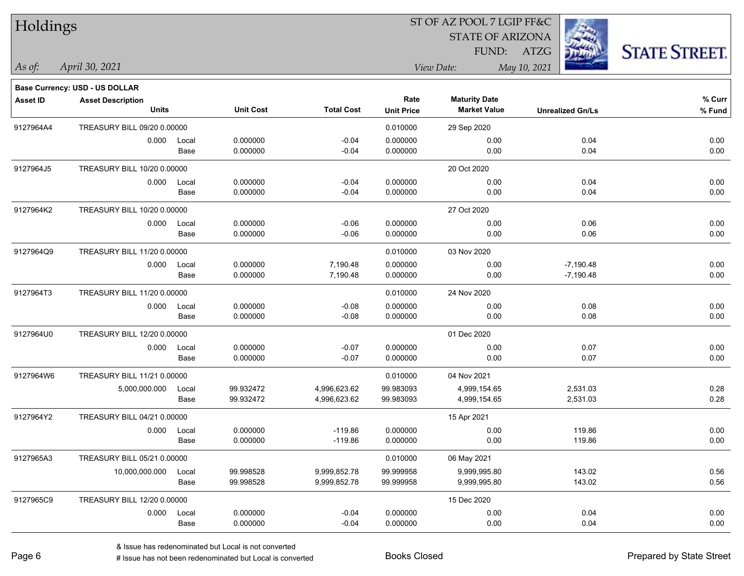| Holdings        |                                      |               |                        |                              |                        | ST OF AZ POOL 7 LGIP FF&C    |                         |                      |
|-----------------|--------------------------------------|---------------|------------------------|------------------------------|------------------------|------------------------------|-------------------------|----------------------|
|                 |                                      |               |                        |                              |                        | <b>STATE OF ARIZONA</b>      |                         |                      |
|                 |                                      |               |                        |                              |                        | FUND:                        | ATZG                    | <b>STATE STREET.</b> |
| As of:          | April 30, 2021                       |               |                        |                              |                        | View Date:                   | May 10, 2021            |                      |
|                 | Base Currency: USD - US DOLLAR       |               |                        |                              |                        |                              |                         |                      |
| <b>Asset ID</b> | <b>Asset Description</b>             |               |                        |                              | Rate                   | <b>Maturity Date</b>         |                         | % Curr               |
|                 | <b>Units</b>                         |               | <b>Unit Cost</b>       | <b>Total Cost</b>            | <b>Unit Price</b>      | <b>Market Value</b>          | <b>Unrealized Gn/Ls</b> | % Fund               |
| 9127964A4       | TREASURY BILL 09/20 0.00000          |               |                        |                              | 0.010000               | 29 Sep 2020                  |                         |                      |
|                 | 0.000                                | Local         | 0.000000<br>0.000000   | $-0.04$<br>$-0.04$           | 0.000000<br>0.000000   | 0.00<br>0.00                 | 0.04<br>0.04            | 0.00<br>0.00         |
|                 |                                      | Base          |                        |                              |                        |                              |                         |                      |
| 9127964J5       | TREASURY BILL 10/20 0.00000          |               |                        |                              |                        | 20 Oct 2020                  |                         |                      |
|                 | 0.000                                | Local<br>Base | 0.000000<br>0.000000   | $-0.04$<br>$-0.04$           | 0.000000<br>0.000000   | 0.00<br>0.00                 | 0.04<br>0.04            | 0.00<br>0.00         |
|                 |                                      |               |                        |                              |                        |                              |                         |                      |
| 9127964K2       | TREASURY BILL 10/20 0.00000<br>0.000 | Local         | 0.000000               | $-0.06$                      | 0.000000               | 27 Oct 2020<br>0.00          | 0.06                    | 0.00                 |
|                 |                                      | Base          | 0.000000               | $-0.06$                      | 0.000000               | 0.00                         | 0.06                    | 0.00                 |
| 9127964Q9       | TREASURY BILL 11/20 0.00000          |               |                        |                              | 0.010000               | 03 Nov 2020                  |                         |                      |
|                 | 0.000                                | Local         | 0.000000               | 7,190.48                     | 0.000000               | 0.00                         | $-7,190.48$             | 0.00                 |
|                 |                                      | Base          | 0.000000               | 7,190.48                     | 0.000000               | 0.00                         | $-7,190.48$             | 0.00                 |
| 9127964T3       | TREASURY BILL 11/20 0.00000          |               |                        |                              | 0.010000               | 24 Nov 2020                  |                         |                      |
|                 | 0.000                                | Local         | 0.000000               | $-0.08$                      | 0.000000               | 0.00                         | 0.08                    | 0.00                 |
|                 |                                      | Base          | 0.000000               | $-0.08$                      | 0.000000               | 0.00                         | 0.08                    | 0.00                 |
| 9127964U0       | TREASURY BILL 12/20 0.00000          |               |                        |                              |                        | 01 Dec 2020                  |                         |                      |
|                 | 0.000                                | Local         | 0.000000               | $-0.07$                      | 0.000000               | 0.00                         | 0.07                    | 0.00                 |
|                 |                                      | Base          | 0.000000               | $-0.07$                      | 0.000000               | 0.00                         | 0.07                    | 0.00                 |
| 9127964W6       | TREASURY BILL 11/21 0.00000          |               |                        |                              | 0.010000               | 04 Nov 2021                  |                         |                      |
|                 | 5,000,000.000                        | Local         | 99.932472              | 4,996,623.62                 | 99.983093              | 4,999,154.65                 | 2,531.03                | 0.28                 |
|                 |                                      | Base          | 99.932472              | 4,996,623.62                 | 99.983093              | 4,999,154.65                 | 2,531.03                | 0.28                 |
| 9127964Y2       | TREASURY BILL 04/21 0.00000          |               |                        |                              |                        | 15 Apr 2021                  |                         |                      |
|                 | 0.000 Local                          | Base          | 0.000000<br>0.000000   | $-119.86$<br>$-119.86$       | 0.000000<br>0.000000   | 0.00<br>0.00                 | 119.86<br>119.86        | 0.00<br>0.00         |
|                 |                                      |               |                        |                              |                        |                              |                         |                      |
| 9127965A3       | TREASURY BILL 05/21 0.00000          |               |                        |                              | 0.010000               | 06 May 2021                  |                         |                      |
|                 | 10,000,000.000                       | Local<br>Base | 99.998528<br>99.998528 | 9,999,852.78<br>9,999,852.78 | 99.999958<br>99.999958 | 9,999,995.80<br>9,999,995.80 | 143.02<br>143.02        | 0.56<br>0.56         |
|                 |                                      |               |                        |                              |                        |                              |                         |                      |
| 9127965C9       | TREASURY BILL 12/20 0.00000          |               |                        |                              |                        | 15 Dec 2020                  |                         |                      |
|                 | 0.000                                | Local<br>Base | 0.000000<br>0.000000   | $-0.04$<br>$-0.04$           | 0.000000<br>0.000000   | 0.00<br>0.00                 | 0.04<br>0.04            | 0.00<br>0.00         |
|                 |                                      |               |                        |                              |                        |                              |                         |                      |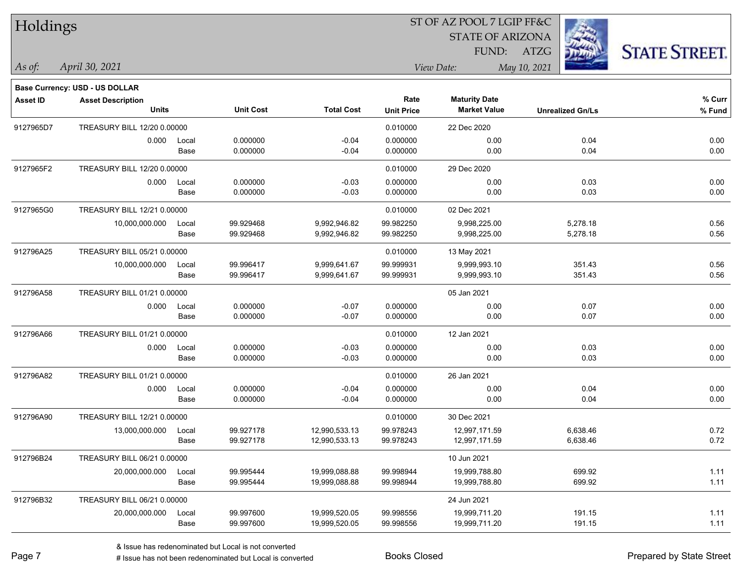| Holdings        |                                |       |                  |                   |                   | ST OF AZ POOL 7 LGIP FF&C |                         |                      |
|-----------------|--------------------------------|-------|------------------|-------------------|-------------------|---------------------------|-------------------------|----------------------|
|                 |                                |       |                  |                   |                   | <b>STATE OF ARIZONA</b>   |                         |                      |
|                 |                                |       |                  |                   |                   | FUND:                     | ATZG                    | <b>STATE STREET.</b> |
| $\vert$ As of:  | April 30, 2021                 |       |                  |                   |                   | View Date:                | May 10, 2021            |                      |
|                 | Base Currency: USD - US DOLLAR |       |                  |                   |                   |                           |                         |                      |
| <b>Asset ID</b> | <b>Asset Description</b>       |       |                  |                   | Rate              | <b>Maturity Date</b>      |                         | % Curr               |
|                 | <b>Units</b>                   |       | <b>Unit Cost</b> | <b>Total Cost</b> | <b>Unit Price</b> | <b>Market Value</b>       | <b>Unrealized Gn/Ls</b> | $%$ Fund             |
| 9127965D7       | TREASURY BILL 12/20 0.00000    |       |                  |                   | 0.010000          | 22 Dec 2020               |                         |                      |
|                 | 0.000                          | Local | 0.000000         | $-0.04$           | 0.000000          | 0.00                      | 0.04                    | 0.00                 |
|                 |                                | Base  | 0.000000         | $-0.04$           | 0.000000          | 0.00                      | 0.04                    | 0.00                 |
| 9127965F2       | TREASURY BILL 12/20 0.00000    |       |                  |                   | 0.010000          | 29 Dec 2020               |                         |                      |
|                 | 0.000                          | Local | 0.000000         | $-0.03$           | 0.000000          | 0.00                      | 0.03                    | 0.00                 |
|                 |                                | Base  | 0.000000         | $-0.03$           | 0.000000          | 0.00                      | 0.03                    | 0.00                 |
| 9127965G0       | TREASURY BILL 12/21 0.00000    |       |                  |                   | 0.010000          | 02 Dec 2021               |                         |                      |
|                 | 10,000,000.000                 | Local | 99.929468        | 9,992,946.82      | 99.982250         | 9,998,225.00              | 5,278.18                | 0.56                 |
|                 |                                | Base  | 99.929468        | 9,992,946.82      | 99.982250         | 9,998,225.00              | 5,278.18                | 0.56                 |
| 912796A25       | TREASURY BILL 05/21 0.00000    |       |                  |                   | 0.010000          | 13 May 2021               |                         |                      |
|                 | 10,000,000.000                 | Local | 99.996417        | 9,999,641.67      | 99.999931         | 9,999,993.10              | 351.43                  | 0.56                 |
|                 |                                | Base  | 99.996417        | 9,999,641.67      | 99.999931         | 9,999,993.10              | 351.43                  | 0.56                 |
| 912796A58       | TREASURY BILL 01/21 0.00000    |       |                  |                   |                   | 05 Jan 2021               |                         |                      |
|                 | 0.000                          | Local | 0.000000         | $-0.07$           | 0.000000          | 0.00                      | 0.07                    | 0.00                 |
|                 |                                | Base  | 0.000000         | $-0.07$           | 0.000000          | 0.00                      | 0.07                    | 0.00                 |
| 912796A66       | TREASURY BILL 01/21 0.00000    |       |                  |                   | 0.010000          | 12 Jan 2021               |                         |                      |
|                 | 0.000                          | Local | 0.000000         | $-0.03$           | 0.000000          | 0.00                      | 0.03                    | 0.00                 |
|                 |                                | Base  | 0.000000         | $-0.03$           | 0.000000          | 0.00                      | 0.03                    | 0.00                 |
| 912796A82       | TREASURY BILL 01/21 0.00000    |       |                  |                   | 0.010000          | 26 Jan 2021               |                         |                      |
|                 | 0.000                          | Local | 0.000000         | $-0.04$           | 0.000000          | 0.00                      | 0.04                    | 0.00                 |
|                 |                                | Base  | 0.000000         | $-0.04$           | 0.000000          | 0.00                      | 0.04                    | 0.00                 |
| 912796A90       | TREASURY BILL 12/21 0.00000    |       |                  |                   | 0.010000          | 30 Dec 2021               |                         |                      |
|                 | 13,000,000.000 Local           |       | 99.927178        | 12,990,533.13     | 99.978243         | 12,997,171.59             | 6,638.46                | 0.72                 |
|                 |                                | Base  | 99.927178        | 12,990,533.13     | 99.978243         | 12,997,171.59             | 6,638.46                | 0.72                 |
| 912796B24       | TREASURY BILL 06/21 0.00000    |       |                  |                   |                   | 10 Jun 2021               |                         |                      |
|                 | 20,000,000.000                 | Local | 99.995444        | 19,999,088.88     | 99.998944         | 19,999,788.80             | 699.92                  | 1.11                 |
|                 |                                | Base  | 99.995444        | 19,999,088.88     | 99.998944         | 19,999,788.80             | 699.92                  | 1.11                 |
| 912796B32       | TREASURY BILL 06/21 0.00000    |       |                  |                   |                   | 24 Jun 2021               |                         |                      |
|                 | 20,000,000.000                 | Local | 99.997600        | 19,999,520.05     | 99.998556         | 19,999,711.20             | 191.15                  | 1.11                 |
|                 |                                | Base  | 99.997600        | 19,999,520.05     | 99.998556         | 19,999,711.20             | 191.15                  | 1.11                 |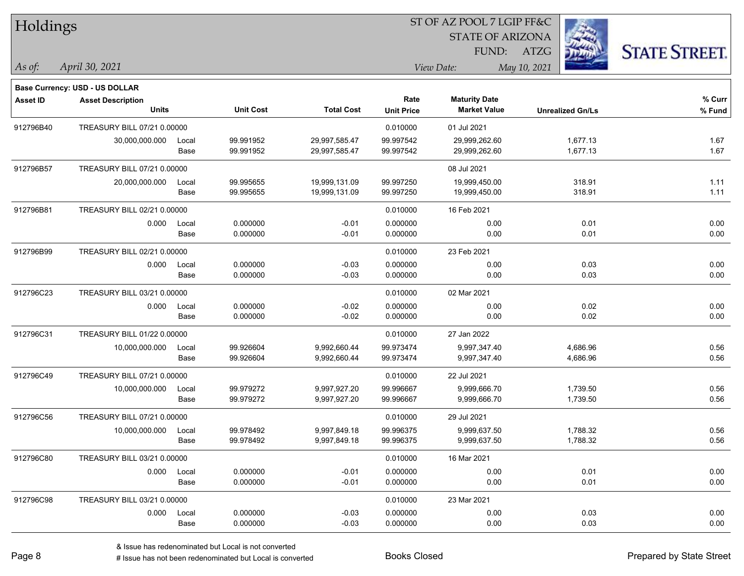| Holdings        |                                          |               |                        |                                |                        | 51 OF AZ POOL 7 LGIP FF&C                   |                         |                      |
|-----------------|------------------------------------------|---------------|------------------------|--------------------------------|------------------------|---------------------------------------------|-------------------------|----------------------|
|                 |                                          |               |                        |                                |                        | <b>STATE OF ARIZONA</b>                     | Ź.                      |                      |
|                 |                                          |               |                        |                                |                        | FUND: ATZG                                  |                         | <b>STATE STREET.</b> |
| $\vert$ As of:  | April 30, 2021                           |               |                        |                                |                        | View Date:                                  | May 10, 2021            |                      |
|                 | <b>Base Currency: USD - US DOLLAR</b>    |               |                        |                                |                        |                                             |                         |                      |
| <b>Asset ID</b> | <b>Asset Description</b><br><b>Units</b> |               | <b>Unit Cost</b>       | <b>Total Cost</b>              | Rate                   | <b>Maturity Date</b><br><b>Market Value</b> | <b>Unrealized Gn/Ls</b> | % Curr               |
|                 |                                          |               |                        |                                | <b>Unit Price</b>      |                                             |                         | % Fund               |
| 912796B40       | TREASURY BILL 07/21 0.00000              |               |                        |                                | 0.010000               | 01 Jul 2021                                 |                         |                      |
|                 | 30,000,000.000                           | Local<br>Base | 99.991952<br>99.991952 | 29,997,585.47<br>29,997,585.47 | 99.997542<br>99.997542 | 29,999,262.60<br>29,999,262.60              | 1,677.13<br>1,677.13    | 1.67<br>1.67         |
| 912796B57       | TREASURY BILL 07/21 0.00000              |               |                        |                                |                        | 08 Jul 2021                                 |                         |                      |
|                 | 20,000,000.000                           | Local         | 99.995655              | 19,999,131.09                  | 99.997250              | 19,999,450.00                               | 318.91                  | 1.11                 |
|                 |                                          | Base          | 99.995655              | 19,999,131.09                  | 99.997250              | 19,999,450.00                               | 318.91                  | 1.11                 |
| 912796B81       | TREASURY BILL 02/21 0.00000              |               |                        |                                | 0.010000               | 16 Feb 2021                                 |                         |                      |
|                 | 0.000                                    | Local         | 0.000000               | $-0.01$                        | 0.000000               | 0.00                                        | 0.01                    | 0.00                 |
|                 |                                          | Base          | 0.000000               | $-0.01$                        | 0.000000               | 0.00                                        | 0.01                    | 0.00                 |
| 912796B99       | TREASURY BILL 02/21 0.00000              |               |                        |                                | 0.010000               | 23 Feb 2021                                 |                         |                      |
|                 | 0.000                                    | Local         | 0.000000               | $-0.03$                        | 0.000000               | 0.00                                        | 0.03                    | 0.00                 |
|                 |                                          | Base          | 0.000000               | $-0.03$                        | 0.000000               | 0.00                                        | 0.03                    | 0.00                 |
| 912796C23       | TREASURY BILL 03/21 0.00000              |               |                        |                                | 0.010000               | 02 Mar 2021                                 |                         |                      |
|                 | 0.000                                    | Local         | 0.000000               | $-0.02$                        | 0.000000               | 0.00                                        | 0.02                    | 0.00                 |
|                 |                                          | Base          | 0.000000               | $-0.02$                        | 0.000000               | 0.00                                        | 0.02                    | 0.00                 |
| 912796C31       | TREASURY BILL 01/22 0.00000              |               |                        |                                | 0.010000               | 27 Jan 2022                                 |                         |                      |
|                 | 10,000,000.000                           | Local         | 99.926604              | 9,992,660.44                   | 99.973474              | 9,997,347.40                                | 4,686.96                | 0.56                 |
|                 |                                          | Base          | 99.926604              | 9,992,660.44                   | 99.973474              | 9,997,347.40                                | 4,686.96                | 0.56                 |
| 912796C49       | TREASURY BILL 07/21 0.00000              |               |                        |                                | 0.010000               | 22 Jul 2021                                 |                         |                      |
|                 | 10,000,000.000                           | Local         | 99.979272              | 9,997,927.20                   | 99.996667              | 9,999,666.70                                | 1,739.50                | 0.56                 |
|                 |                                          | Base          | 99.979272              | 9,997,927.20                   | 99.996667              | 9,999,666.70                                | 1,739.50                | 0.56                 |
| 912796C56       | TREASURY BILL 07/21 0.00000              |               |                        |                                | 0.010000               | 29 Jul 2021                                 |                         |                      |
|                 | 10,000,000.000                           | Local         | 99.978492              | 9,997,849.18                   | 99.996375              | 9,999,637.50                                | 1,788.32                | 0.56                 |
|                 |                                          | Base          | 99.978492              | 9,997,849.18                   | 99.996375              | 9,999,637.50                                | 1,788.32                | 0.56                 |
| 912796C80       | TREASURY BILL 03/21 0.00000              |               |                        |                                | 0.010000               | 16 Mar 2021                                 |                         |                      |
|                 |                                          | 0.000 Local   | 0.000000               | $-0.01$                        | 0.000000               | 0.00                                        | 0.01                    | 0.00                 |
|                 |                                          | Base          | 0.000000               | $-0.01$                        | 0.000000               | 0.00                                        | 0.01                    | 0.00                 |
| 912796C98       | TREASURY BILL 03/21 0.00000              |               |                        |                                | 0.010000               | 23 Mar 2021                                 |                         |                      |
|                 |                                          | 0.000 Local   | 0.000000               | $-0.03$                        | 0.000000               | 0.00                                        | 0.03                    | 0.00                 |
|                 |                                          | Base          | 0.000000               | $-0.03$                        | 0.000000               | 0.00                                        | 0.03                    | 0.00                 |

# Issue has not been redenominated but Local is converted Books Closed Prepared by State Street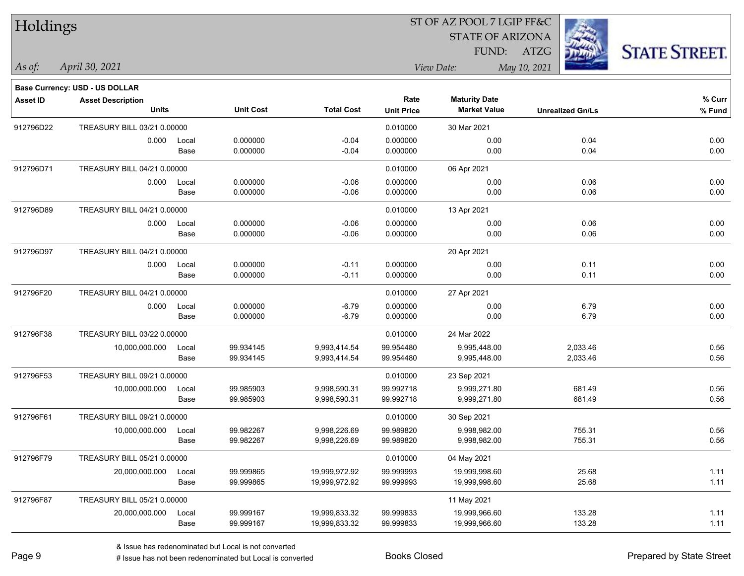| Holdings        |                                       |       |                  |                   | 51 OF AZ POOL 7 LGIP FF&C |                         |                         |                      |  |  |
|-----------------|---------------------------------------|-------|------------------|-------------------|---------------------------|-------------------------|-------------------------|----------------------|--|--|
|                 |                                       |       |                  |                   |                           | <b>STATE OF ARIZONA</b> |                         |                      |  |  |
|                 |                                       |       |                  |                   |                           |                         | FUND: ATZG              | <b>STATE STREET.</b> |  |  |
| As of:          | April 30, 2021                        |       |                  |                   |                           | View Date:              | May 10, 2021            |                      |  |  |
|                 | <b>Base Currency: USD - US DOLLAR</b> |       |                  |                   |                           |                         |                         |                      |  |  |
| <b>Asset ID</b> | <b>Asset Description</b>              |       |                  |                   | Rate                      | <b>Maturity Date</b>    |                         | % Curr               |  |  |
|                 | <b>Units</b>                          |       | <b>Unit Cost</b> | <b>Total Cost</b> | <b>Unit Price</b>         | <b>Market Value</b>     | <b>Unrealized Gn/Ls</b> | % Fund               |  |  |
| 912796D22       | TREASURY BILL 03/21 0.00000           |       |                  |                   | 0.010000                  | 30 Mar 2021             |                         |                      |  |  |
|                 | 0.000                                 | Local | 0.000000         | $-0.04$           | 0.000000                  | 0.00                    | 0.04                    | 0.00                 |  |  |
|                 |                                       | Base  | 0.000000         | $-0.04$           | 0.000000                  | 0.00                    | 0.04                    | 0.00                 |  |  |
| 912796D71       | TREASURY BILL 04/21 0.00000           |       |                  |                   | 0.010000                  | 06 Apr 2021             |                         |                      |  |  |
|                 | 0.000                                 | Local | 0.000000         | $-0.06$           | 0.000000                  | 0.00                    | 0.06                    | 0.00                 |  |  |
|                 |                                       | Base  | 0.000000         | $-0.06$           | 0.000000                  | 0.00                    | 0.06                    | 0.00                 |  |  |
| 912796D89       | TREASURY BILL 04/21 0.00000           |       |                  |                   | 0.010000                  | 13 Apr 2021             |                         |                      |  |  |
|                 | 0.000                                 | Local | 0.000000         | $-0.06$           | 0.000000                  | 0.00                    | 0.06                    | 0.00                 |  |  |
|                 |                                       | Base  | 0.000000         | $-0.06$           | 0.000000                  | 0.00                    | 0.06                    | 0.00                 |  |  |
| 912796D97       | TREASURY BILL 04/21 0.00000           |       |                  |                   |                           | 20 Apr 2021             |                         |                      |  |  |
|                 | 0.000                                 | Local | 0.000000         | $-0.11$           | 0.000000                  | 0.00                    | 0.11                    | 0.00                 |  |  |
|                 |                                       | Base  | 0.000000         | $-0.11$           | 0.000000                  | 0.00                    | 0.11                    | 0.00                 |  |  |
| 912796F20       | TREASURY BILL 04/21 0.00000           |       |                  |                   | 0.010000                  | 27 Apr 2021             |                         |                      |  |  |
|                 | 0.000                                 | Local | 0.000000         | $-6.79$           | 0.000000                  | 0.00                    | 6.79                    | 0.00                 |  |  |
|                 |                                       | Base  | 0.000000         | $-6.79$           | 0.000000                  | 0.00                    | 6.79                    | 0.00                 |  |  |
| 912796F38       | TREASURY BILL 03/22 0.00000           |       |                  |                   | 0.010000                  | 24 Mar 2022             |                         |                      |  |  |
|                 | 10,000,000.000                        | Local | 99.934145        | 9,993,414.54      | 99.954480                 | 9,995,448.00            | 2,033.46                | 0.56                 |  |  |
|                 |                                       | Base  | 99.934145        | 9,993,414.54      | 99.954480                 | 9,995,448.00            | 2,033.46                | 0.56                 |  |  |
| 912796F53       | TREASURY BILL 09/21 0.00000           |       |                  |                   | 0.010000                  | 23 Sep 2021             |                         |                      |  |  |
|                 | 10,000,000.000                        | Local | 99.985903        | 9,998,590.31      | 99.992718                 | 9,999,271.80            | 681.49                  | 0.56                 |  |  |
|                 |                                       | Base  | 99.985903        | 9,998,590.31      | 99.992718                 | 9,999,271.80            | 681.49                  | 0.56                 |  |  |
| 912796F61       | TREASURY BILL 09/21 0.00000           |       |                  |                   | 0.010000                  | 30 Sep 2021             |                         |                      |  |  |
|                 | 10,000,000.000                        | Local | 99.982267        | 9,998,226.69      | 99.989820                 | 9,998,982.00            | 755.31                  | 0.56                 |  |  |
|                 |                                       | Base  | 99.982267        | 9,998,226.69      | 99.989820                 | 9,998,982.00            | 755.31                  | 0.56                 |  |  |
| 912796F79       | TREASURY BILL 05/21 0.00000           |       |                  |                   | 0.010000                  | 04 May 2021             |                         |                      |  |  |
|                 | 20,000,000.000                        | Local | 99.999865        | 19,999,972.92     | 99.999993                 | 19,999,998.60           | 25.68                   | 1.11                 |  |  |
|                 |                                       | Base  | 99.999865        | 19,999,972.92     | 99.999993                 | 19,999,998.60           | 25.68                   | 1.11                 |  |  |
| 912796F87       | TREASURY BILL 05/21 0.00000           |       |                  |                   |                           | 11 May 2021             |                         |                      |  |  |
|                 | 20,000,000.000                        | Local | 99.999167        | 19,999,833.32     | 99.999833                 | 19,999,966.60           | 133.28                  | 1.11                 |  |  |
|                 |                                       | Base  | 99.999167        | 19,999,833.32     | 99.999833                 | 19,999,966.60           | 133.28                  | 1.11                 |  |  |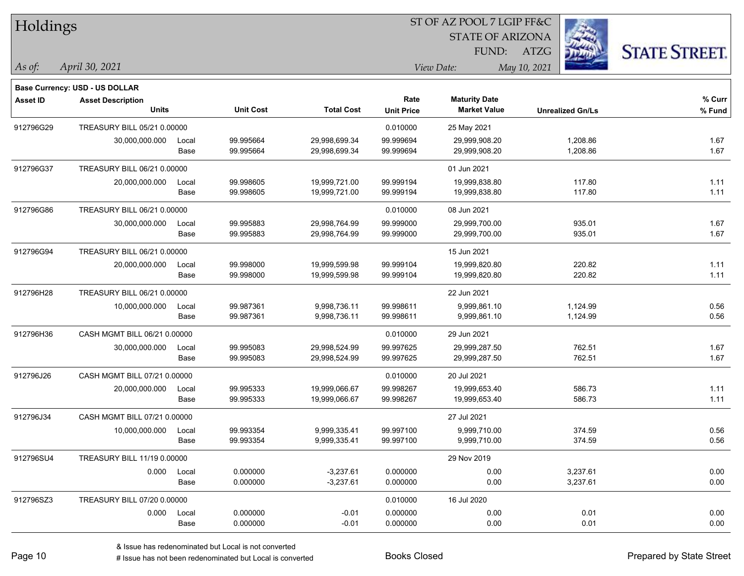| Holdings        |                                       |       |                  |                   | 51 OF AZ POOL 7 LGIP FF&C |                         |                         |                      |  |  |
|-----------------|---------------------------------------|-------|------------------|-------------------|---------------------------|-------------------------|-------------------------|----------------------|--|--|
|                 |                                       |       |                  |                   |                           | <b>STATE OF ARIZONA</b> | ĝ.                      |                      |  |  |
|                 |                                       |       |                  |                   |                           | FUND:                   | ATZG                    | <b>STATE STREET.</b> |  |  |
| As of:          | April 30, 2021                        |       |                  |                   |                           | View Date:              | May 10, 2021            |                      |  |  |
|                 | <b>Base Currency: USD - US DOLLAR</b> |       |                  |                   |                           |                         |                         |                      |  |  |
| <b>Asset ID</b> | <b>Asset Description</b>              |       |                  |                   | Rate                      | <b>Maturity Date</b>    |                         | % Curr               |  |  |
|                 | <b>Units</b>                          |       | <b>Unit Cost</b> | <b>Total Cost</b> | <b>Unit Price</b>         | <b>Market Value</b>     | <b>Unrealized Gn/Ls</b> | % Fund               |  |  |
| 912796G29       | TREASURY BILL 05/21 0.00000           |       |                  |                   | 0.010000                  | 25 May 2021             |                         |                      |  |  |
|                 | 30,000,000.000                        | Local | 99.995664        | 29,998,699.34     | 99.999694                 | 29,999,908.20           | 1,208.86                | 1.67                 |  |  |
|                 |                                       | Base  | 99.995664        | 29,998,699.34     | 99.999694                 | 29,999,908.20           | 1,208.86                | 1.67                 |  |  |
| 912796G37       | TREASURY BILL 06/21 0.00000           |       |                  |                   |                           | 01 Jun 2021             |                         |                      |  |  |
|                 | 20,000,000.000                        | Local | 99.998605        | 19,999,721.00     | 99.999194                 | 19,999,838.80           | 117.80                  | 1.11                 |  |  |
|                 |                                       | Base  | 99.998605        | 19,999,721.00     | 99.999194                 | 19,999,838.80           | 117.80                  | 1.11                 |  |  |
| 912796G86       | TREASURY BILL 06/21 0.00000           |       |                  |                   | 0.010000                  | 08 Jun 2021             |                         |                      |  |  |
|                 | 30,000,000.000                        | Local | 99.995883        | 29,998,764.99     | 99.999000                 | 29,999,700.00           | 935.01                  | 1.67                 |  |  |
|                 |                                       | Base  | 99.995883        | 29,998,764.99     | 99.999000                 | 29,999,700.00           | 935.01                  | 1.67                 |  |  |
| 912796G94       | TREASURY BILL 06/21 0.00000           |       |                  |                   |                           | 15 Jun 2021             |                         |                      |  |  |
|                 | 20,000,000.000                        | Local | 99.998000        | 19,999,599.98     | 99.999104                 | 19,999,820.80           | 220.82                  | 1.11                 |  |  |
|                 |                                       | Base  | 99.998000        | 19,999,599.98     | 99.999104                 | 19,999,820.80           | 220.82                  | 1.11                 |  |  |
| 912796H28       | TREASURY BILL 06/21 0.00000           |       |                  |                   |                           | 22 Jun 2021             |                         |                      |  |  |
|                 | 10,000,000.000                        | Local | 99.987361        | 9,998,736.11      | 99.998611                 | 9,999,861.10            | 1,124.99                | 0.56                 |  |  |
|                 |                                       | Base  | 99.987361        | 9,998,736.11      | 99.998611                 | 9,999,861.10            | 1,124.99                | 0.56                 |  |  |
| 912796H36       | CASH MGMT BILL 06/21 0.00000          |       |                  |                   | 0.010000                  | 29 Jun 2021             |                         |                      |  |  |
|                 | 30,000,000.000                        | Local | 99.995083        | 29,998,524.99     | 99.997625                 | 29,999,287.50           | 762.51                  | 1.67                 |  |  |
|                 |                                       | Base  | 99.995083        | 29,998,524.99     | 99.997625                 | 29,999,287.50           | 762.51                  | 1.67                 |  |  |
| 912796J26       | CASH MGMT BILL 07/21 0.00000          |       |                  |                   | 0.010000                  | 20 Jul 2021             |                         |                      |  |  |
|                 | 20,000,000.000                        | Local | 99.995333        | 19,999,066.67     | 99.998267                 | 19,999,653.40           | 586.73                  | 1.11                 |  |  |
|                 |                                       | Base  | 99.995333        | 19,999,066.67     | 99.998267                 | 19,999,653.40           | 586.73                  | 1.11                 |  |  |
| 912796J34       | CASH MGMT BILL 07/21 0.00000          |       |                  |                   |                           | 27 Jul 2021             |                         |                      |  |  |
|                 | 10,000,000.000                        | Local | 99.993354        | 9,999,335.41      | 99.997100                 | 9,999,710.00            | 374.59                  | 0.56                 |  |  |
|                 |                                       | Base  | 99.993354        | 9,999,335.41      | 99.997100                 | 9,999,710.00            | 374.59                  | 0.56                 |  |  |
| 912796SU4       | TREASURY BILL 11/19 0.00000           |       |                  |                   |                           | 29 Nov 2019             |                         |                      |  |  |
|                 | 0.000 Local                           |       | 0.000000         | $-3,237.61$       | 0.000000                  | 0.00                    | 3,237.61                | 0.00                 |  |  |
|                 |                                       | Base  | 0.000000         | $-3,237.61$       | 0.000000                  | 0.00                    | 3,237.61                | 0.00                 |  |  |
| 912796SZ3       | TREASURY BILL 07/20 0.00000           |       |                  |                   | 0.010000                  | 16 Jul 2020             |                         |                      |  |  |
|                 | 0.000 Local                           |       | 0.000000         | $-0.01$           | 0.000000                  | 0.00                    | 0.01                    | 0.00                 |  |  |
|                 |                                       | Base  | 0.000000         | $-0.01$           | 0.000000                  | 0.00                    | 0.01                    | 0.00                 |  |  |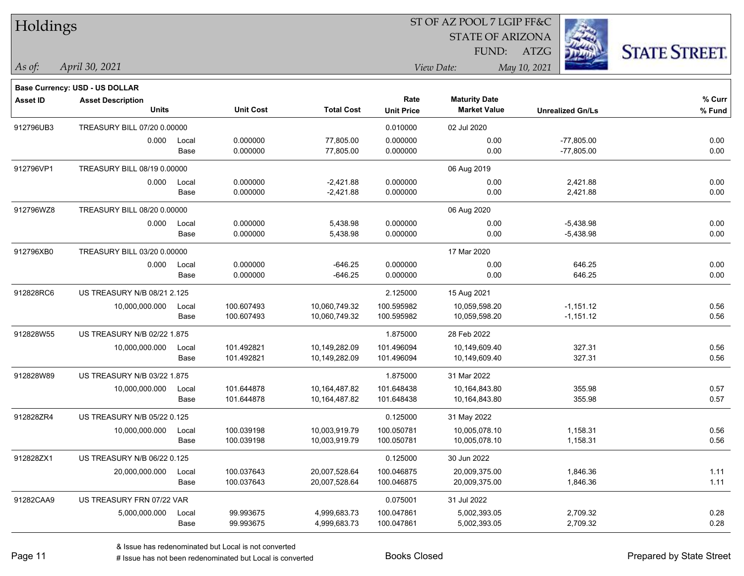| Holdings        |                                          |       |                  |                   | 51 OF AZ POOL 7 LGIP FF&C |                                             |                         |                      |  |  |
|-----------------|------------------------------------------|-------|------------------|-------------------|---------------------------|---------------------------------------------|-------------------------|----------------------|--|--|
|                 |                                          |       |                  |                   |                           | <b>STATE OF ARIZONA</b>                     |                         |                      |  |  |
|                 |                                          |       |                  |                   |                           | FUND: ATZG                                  |                         | <b>STATE STREET.</b> |  |  |
| $As$ of:        | April 30, 2021                           |       |                  |                   |                           | View Date:                                  | May 10, 2021            |                      |  |  |
|                 | Base Currency: USD - US DOLLAR           |       |                  |                   |                           |                                             |                         |                      |  |  |
| <b>Asset ID</b> | <b>Asset Description</b><br><b>Units</b> |       | <b>Unit Cost</b> | <b>Total Cost</b> | Rate<br><b>Unit Price</b> | <b>Maturity Date</b><br><b>Market Value</b> | <b>Unrealized Gn/Ls</b> | % Curr<br>% Fund     |  |  |
| 912796UB3       | TREASURY BILL 07/20 0.00000              |       |                  |                   | 0.010000                  | 02 Jul 2020                                 |                         |                      |  |  |
|                 | 0.000                                    | Local | 0.000000         | 77,805.00         | 0.000000                  | 0.00                                        | $-77,805.00$            | 0.00                 |  |  |
|                 |                                          | Base  | 0.000000         | 77,805.00         | 0.000000                  | 0.00                                        | $-77,805.00$            | 0.00                 |  |  |
| 912796VP1       | TREASURY BILL 08/19 0.00000              |       |                  |                   |                           | 06 Aug 2019                                 |                         |                      |  |  |
|                 | 0.000                                    | Local | 0.000000         | $-2,421.88$       | 0.000000                  | 0.00                                        | 2,421.88                | 0.00                 |  |  |
|                 |                                          | Base  | 0.000000         | $-2,421.88$       | 0.000000                  | 0.00                                        | 2,421.88                | 0.00                 |  |  |
| 912796WZ8       | TREASURY BILL 08/20 0.00000              |       |                  |                   |                           | 06 Aug 2020                                 |                         |                      |  |  |
|                 | 0.000                                    | Local | 0.000000         | 5,438.98          | 0.000000                  | 0.00                                        | $-5,438.98$             | 0.00                 |  |  |
|                 |                                          | Base  | 0.000000         | 5,438.98          | 0.000000                  | 0.00                                        | $-5,438.98$             | 0.00                 |  |  |
| 912796XB0       | TREASURY BILL 03/20 0.00000              |       |                  |                   |                           | 17 Mar 2020                                 |                         |                      |  |  |
|                 | 0.000                                    | Local | 0.000000         | $-646.25$         | 0.000000                  | 0.00                                        | 646.25                  | 0.00                 |  |  |
|                 |                                          | Base  | 0.000000         | $-646.25$         | 0.000000                  | 0.00                                        | 646.25                  | 0.00                 |  |  |
| 912828RC6       | US TREASURY N/B 08/21 2.125              |       |                  |                   | 2.125000                  | 15 Aug 2021                                 |                         |                      |  |  |
|                 | 10,000,000.000                           | Local | 100.607493       | 10,060,749.32     | 100.595982                | 10,059,598.20                               | $-1,151.12$             | 0.56                 |  |  |
|                 |                                          | Base  | 100.607493       | 10,060,749.32     | 100.595982                | 10,059,598.20                               | $-1,151.12$             | 0.56                 |  |  |
| 912828W55       | US TREASURY N/B 02/22 1.875              |       |                  |                   | 1.875000                  | 28 Feb 2022                                 |                         |                      |  |  |
|                 | 10,000,000.000                           | Local | 101.492821       | 10,149,282.09     | 101.496094                | 10,149,609.40                               | 327.31                  | 0.56                 |  |  |
|                 |                                          | Base  | 101.492821       | 10,149,282.09     | 101.496094                | 10,149,609.40                               | 327.31                  | 0.56                 |  |  |
| 912828W89       | US TREASURY N/B 03/22 1.875              |       |                  |                   | 1.875000                  | 31 Mar 2022                                 |                         |                      |  |  |
|                 | 10,000,000.000                           | Local | 101.644878       | 10,164,487.82     | 101.648438                | 10,164,843.80                               | 355.98                  | 0.57                 |  |  |
|                 |                                          | Base  | 101.644878       | 10,164,487.82     | 101.648438                | 10,164,843.80                               | 355.98                  | 0.57                 |  |  |
| 912828ZR4       | US TREASURY N/B 05/22 0.125              |       |                  |                   | 0.125000                  | 31 May 2022                                 |                         |                      |  |  |
|                 | 10,000,000.000                           | Local | 100.039198       | 10,003,919.79     | 100.050781                | 10,005,078.10                               | 1,158.31                | 0.56                 |  |  |
|                 |                                          | Base  | 100.039198       | 10,003,919.79     | 100.050781                | 10,005,078.10                               | 1,158.31                | 0.56                 |  |  |
| 912828ZX1       | US TREASURY N/B 06/22 0.125              |       |                  |                   | 0.125000                  | 30 Jun 2022                                 |                         |                      |  |  |
|                 | 20,000,000.000                           | Local | 100.037643       | 20,007,528.64     | 100.046875                | 20,009,375.00                               | 1,846.36                | 1.11                 |  |  |
|                 |                                          | Base  | 100.037643       | 20,007,528.64     | 100.046875                | 20,009,375.00                               | 1,846.36                | 1.11                 |  |  |
| 91282CAA9       | US TREASURY FRN 07/22 VAR                |       |                  |                   | 0.075001                  | 31 Jul 2022                                 |                         |                      |  |  |
|                 | 5,000,000.000                            | Local | 99.993675        | 4,999,683.73      | 100.047861                | 5,002,393.05                                | 2,709.32                | 0.28                 |  |  |
|                 |                                          | Base  | 99.993675        | 4,999,683.73      | 100.047861                | 5,002,393.05                                | 2,709.32                | 0.28                 |  |  |

# Issue has not been redenominated but Local is converted Books Closed Prepared by State Street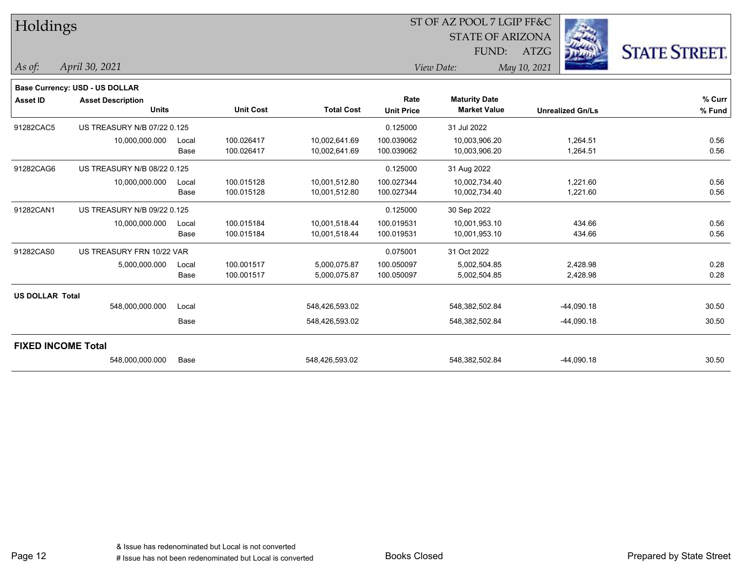| Holdings               |                                |       |                  |                   |                   | ST OF AZ POOL 7 LGIP FF&C |                         |                      |  |
|------------------------|--------------------------------|-------|------------------|-------------------|-------------------|---------------------------|-------------------------|----------------------|--|
|                        |                                |       |                  |                   |                   | <b>STATE OF ARIZONA</b>   |                         |                      |  |
|                        |                                |       |                  |                   |                   | FUND:                     | ATZG                    | <b>STATE STREET.</b> |  |
| As of:                 | April 30, 2021                 |       |                  |                   |                   | View Date:                | May 10, 2021            |                      |  |
|                        | Base Currency: USD - US DOLLAR |       |                  |                   |                   |                           |                         |                      |  |
| Asset ID               | <b>Asset Description</b>       |       |                  |                   | Rate              | <b>Maturity Date</b>      |                         | % Curr               |  |
|                        | <b>Units</b>                   |       | <b>Unit Cost</b> | <b>Total Cost</b> | <b>Unit Price</b> | <b>Market Value</b>       | <b>Unrealized Gn/Ls</b> | % Fund               |  |
| 91282CAC5              | US TREASURY N/B 07/22 0.125    |       |                  |                   | 0.125000          | 31 Jul 2022               |                         |                      |  |
|                        | 10,000,000.000                 | Local | 100.026417       | 10,002,641.69     | 100.039062        | 10,003,906.20             | 1,264.51                | 0.56                 |  |
|                        |                                | Base  | 100.026417       | 10,002,641.69     | 100.039062        | 10,003,906.20             | 1,264.51                | 0.56                 |  |
| 91282CAG6              | US TREASURY N/B 08/22 0.125    |       |                  |                   | 0.125000          | 31 Aug 2022               |                         |                      |  |
|                        | 10,000,000.000                 | Local | 100.015128       | 10,001,512.80     | 100.027344        | 10,002,734.40             | 1,221.60                | 0.56                 |  |
|                        |                                | Base  | 100.015128       | 10,001,512.80     | 100.027344        | 10,002,734.40             | 1,221.60                | 0.56                 |  |
| 91282CAN1              | US TREASURY N/B 09/22 0.125    |       |                  |                   | 0.125000          | 30 Sep 2022               |                         |                      |  |
|                        | 10,000,000.000                 | Local | 100.015184       | 10,001,518.44     | 100.019531        | 10,001,953.10             | 434.66                  | 0.56                 |  |
|                        |                                | Base  | 100.015184       | 10,001,518.44     | 100.019531        | 10,001,953.10             | 434.66                  | 0.56                 |  |
| 91282CAS0              | US TREASURY FRN 10/22 VAR      |       |                  |                   | 0.075001          | 31 Oct 2022               |                         |                      |  |
|                        | 5,000,000.000                  | Local | 100.001517       | 5,000,075.87      | 100.050097        | 5,002,504.85              | 2,428.98                | 0.28                 |  |
|                        |                                | Base  | 100.001517       | 5,000,075.87      | 100.050097        | 5,002,504.85              | 2,428.98                | 0.28                 |  |
| <b>US DOLLAR Total</b> |                                |       |                  |                   |                   |                           |                         |                      |  |
|                        | 548,000,000.000                | Local |                  | 548,426,593.02    |                   | 548,382,502.84            | $-44,090.18$            | 30.50                |  |
|                        |                                | Base  |                  | 548,426,593.02    |                   | 548,382,502.84            | $-44,090.18$            | 30.50                |  |
|                        | <b>FIXED INCOME Total</b>      |       |                  |                   |                   |                           |                         |                      |  |
|                        | 548,000,000.000                | Base  |                  | 548,426,593.02    |                   | 548,382,502.84            | $-44,090.18$            | 30.50                |  |

Page 12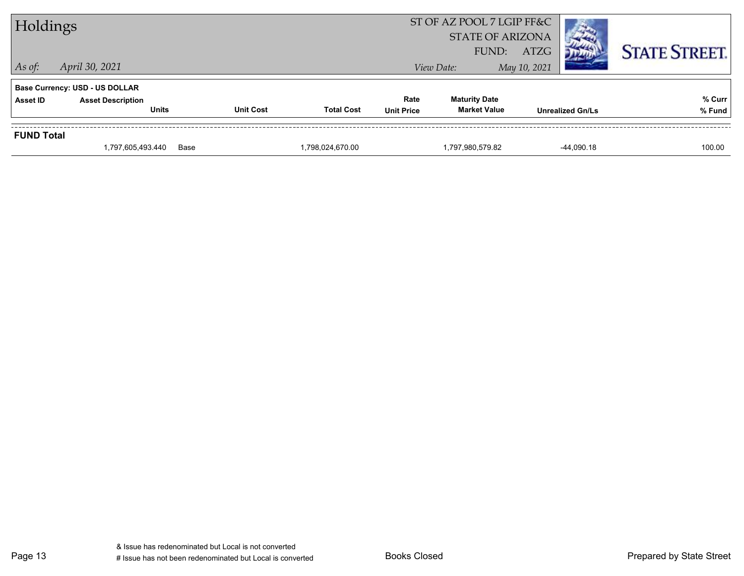| Holdings          |                                          |                  |                   |                   | ST OF AZ POOL 7 LGIP FF&C<br><b>STATE OF ARIZONA</b><br>FUND: | ATZG                    | <b>STATE STREET.</b> |
|-------------------|------------------------------------------|------------------|-------------------|-------------------|---------------------------------------------------------------|-------------------------|----------------------|
| $\vert$ As of:    | April 30, 2021                           |                  |                   |                   | View Date:                                                    | May 10, 2021            |                      |
|                   | <b>Base Currency: USD - US DOLLAR</b>    |                  |                   |                   |                                                               |                         |                      |
| <b>Asset ID</b>   | <b>Asset Description</b><br><b>Units</b> | <b>Unit Cost</b> | <b>Total Cost</b> | Rate              | <b>Maturity Date</b><br><b>Market Value</b>                   |                         | % Curr               |
|                   |                                          |                  |                   | <b>Unit Price</b> |                                                               | <b>Unrealized Gn/Ls</b> | % Fund               |
| <b>FUND Total</b> |                                          |                  |                   |                   |                                                               |                         |                      |
|                   | 1,797,605,493.440                        | Base             | 1,798,024,670.00  |                   | 1,797,980,579.82                                              | $-44.090.18$            | 100.00               |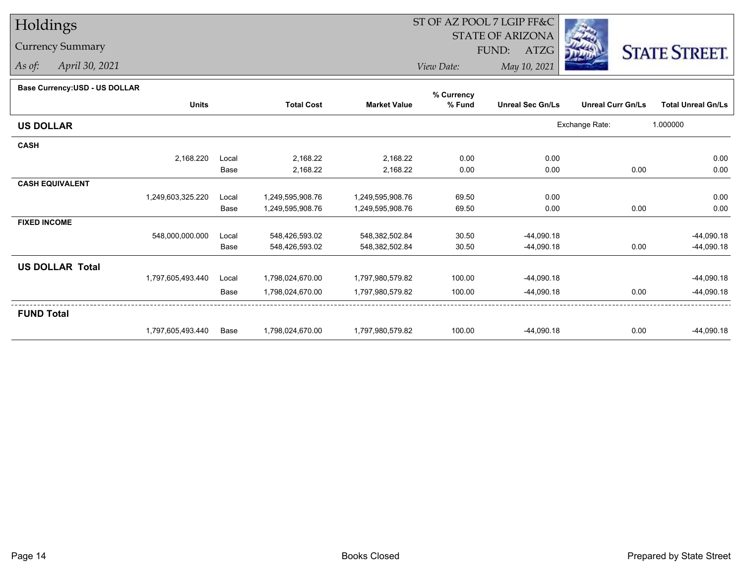## Holdings

## Currency Summary

*As of: April 30, 2021*

## ST OF AZ POOL 7 LGIP FF&C

STATE OF ARIZONA

FUND: ATZG



*View Date:May 10, 2021*

## **Base Currency:USD - US DOLLAR**

|                        |                   |       |                   |                     | % Currency |                         |                          |                           |
|------------------------|-------------------|-------|-------------------|---------------------|------------|-------------------------|--------------------------|---------------------------|
|                        | <b>Units</b>      |       | <b>Total Cost</b> | <b>Market Value</b> | % Fund     | <b>Unreal Sec Gn/Ls</b> | <b>Unreal Curr Gn/Ls</b> | <b>Total Unreal Gn/Ls</b> |
| <b>US DOLLAR</b>       |                   |       |                   |                     |            |                         | Exchange Rate:           | 1.000000                  |
| <b>CASH</b>            |                   |       |                   |                     |            |                         |                          |                           |
|                        | 2,168.220         | Local | 2,168.22          | 2,168.22            | 0.00       | 0.00                    |                          | 0.00                      |
|                        |                   | Base  | 2,168.22          | 2,168.22            | 0.00       | 0.00                    | 0.00                     | 0.00                      |
| <b>CASH EQUIVALENT</b> |                   |       |                   |                     |            |                         |                          |                           |
|                        | 1,249,603,325.220 | Local | 1,249,595,908.76  | 1,249,595,908.76    | 69.50      | 0.00                    |                          | 0.00                      |
|                        |                   | Base  | 1,249,595,908.76  | 1,249,595,908.76    | 69.50      | 0.00                    | 0.00                     | 0.00                      |
| <b>FIXED INCOME</b>    |                   |       |                   |                     |            |                         |                          |                           |
|                        | 548,000,000.000   | Local | 548,426,593.02    | 548,382,502.84      | 30.50      | $-44,090.18$            |                          | $-44,090.18$              |
|                        |                   | Base  | 548,426,593.02    | 548,382,502.84      | 30.50      | $-44,090.18$            | 0.00                     | $-44,090.18$              |
| <b>US DOLLAR Total</b> |                   |       |                   |                     |            |                         |                          |                           |
|                        | 1,797,605,493.440 | Local | 1,798,024,670.00  | 1,797,980,579.82    | 100.00     | $-44,090.18$            |                          | $-44,090.18$              |
|                        |                   | Base  | 1,798,024,670.00  | 1,797,980,579.82    | 100.00     | $-44,090.18$            | 0.00                     | $-44,090.18$              |
| <b>FUND Total</b>      |                   |       |                   |                     |            |                         |                          |                           |
|                        | 1,797,605,493.440 | Base  | 1,798,024,670.00  | 1,797,980,579.82    | 100.00     | $-44,090.18$            | 0.00                     | $-44,090.18$              |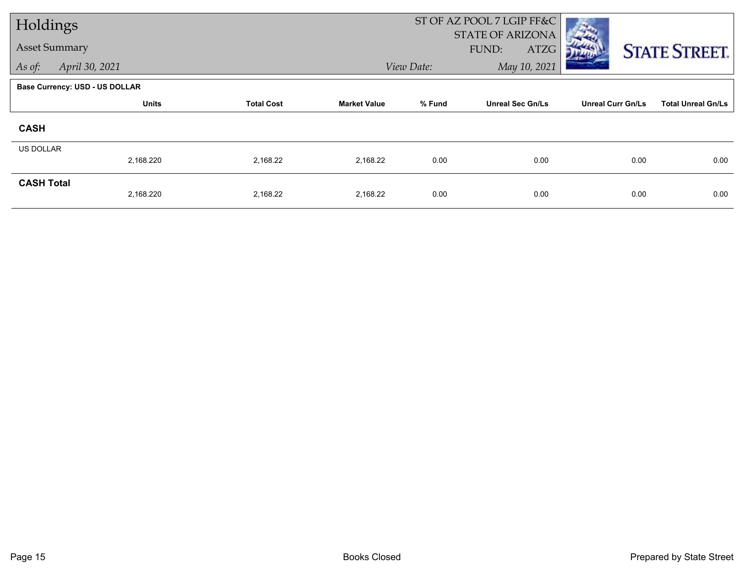| Holdings             |                                       |                   |                     |            | ST OF AZ POOL 7 LGIP FF&C<br><b>STATE OF ARIZONA</b> |                          |                           |  |
|----------------------|---------------------------------------|-------------------|---------------------|------------|------------------------------------------------------|--------------------------|---------------------------|--|
| <b>Asset Summary</b> |                                       |                   |                     |            | FUND:<br>ATZG                                        |                          | <b>STATE STREET.</b>      |  |
| As of:               | April 30, 2021                        |                   |                     | View Date: | May 10, 2021                                         |                          |                           |  |
|                      | <b>Base Currency: USD - US DOLLAR</b> |                   |                     |            |                                                      |                          |                           |  |
|                      | <b>Units</b>                          | <b>Total Cost</b> | <b>Market Value</b> | % Fund     | <b>Unreal Sec Gn/Ls</b>                              | <b>Unreal Curr Gn/Ls</b> | <b>Total Unreal Gn/Ls</b> |  |
| <b>CASH</b>          |                                       |                   |                     |            |                                                      |                          |                           |  |
| <b>US DOLLAR</b>     |                                       |                   |                     |            |                                                      |                          |                           |  |
|                      | 2,168.220                             | 2,168.22          | 2,168.22            | 0.00       | 0.00                                                 | 0.00                     | 0.00                      |  |
| <b>CASH Total</b>    | 2,168.220                             | 2,168.22          | 2,168.22            | 0.00       | 0.00                                                 | 0.00                     | 0.00                      |  |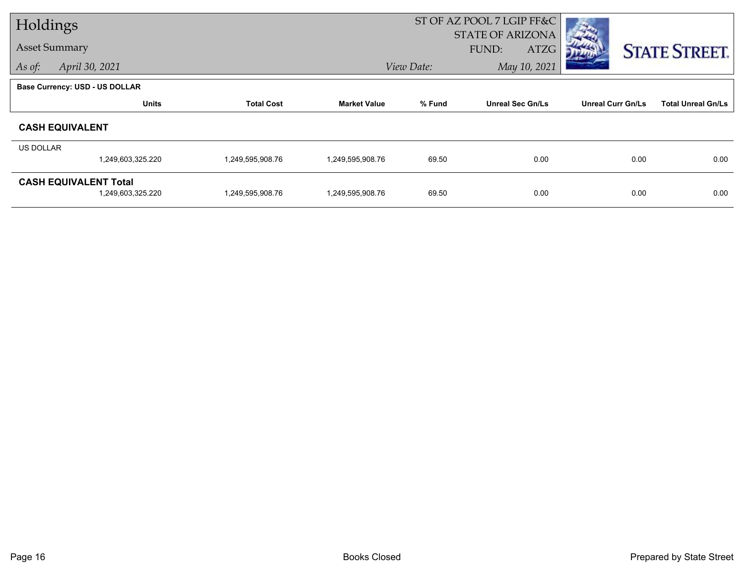| Holdings         |                                                   |                   |                     | ST OF AZ POOL 7 LGIP FF&C |                                          |                          |                           |  |
|------------------|---------------------------------------------------|-------------------|---------------------|---------------------------|------------------------------------------|--------------------------|---------------------------|--|
|                  | <b>Asset Summary</b>                              |                   |                     |                           | <b>STATE OF ARIZONA</b><br>ATZG<br>FUND: |                          | <b>STATE STREET.</b>      |  |
| As of:           | April 30, 2021                                    |                   |                     | View Date:                | May 10, 2021                             |                          |                           |  |
|                  | Base Currency: USD - US DOLLAR                    |                   |                     |                           |                                          |                          |                           |  |
|                  | <b>Units</b>                                      | <b>Total Cost</b> | <b>Market Value</b> | % Fund                    | <b>Unreal Sec Gn/Ls</b>                  | <b>Unreal Curr Gn/Ls</b> | <b>Total Unreal Gn/Ls</b> |  |
|                  | <b>CASH EQUIVALENT</b>                            |                   |                     |                           |                                          |                          |                           |  |
| <b>US DOLLAR</b> |                                                   |                   |                     |                           |                                          |                          |                           |  |
|                  | 1,249,603,325.220                                 | 1,249,595,908.76  | 1,249,595,908.76    | 69.50                     | 0.00                                     | 0.00                     | 0.00                      |  |
|                  | <b>CASH EQUIVALENT Total</b><br>1,249,603,325.220 | 1,249,595,908.76  | 1,249,595,908.76    | 69.50                     | 0.00                                     | 0.00                     | 0.00                      |  |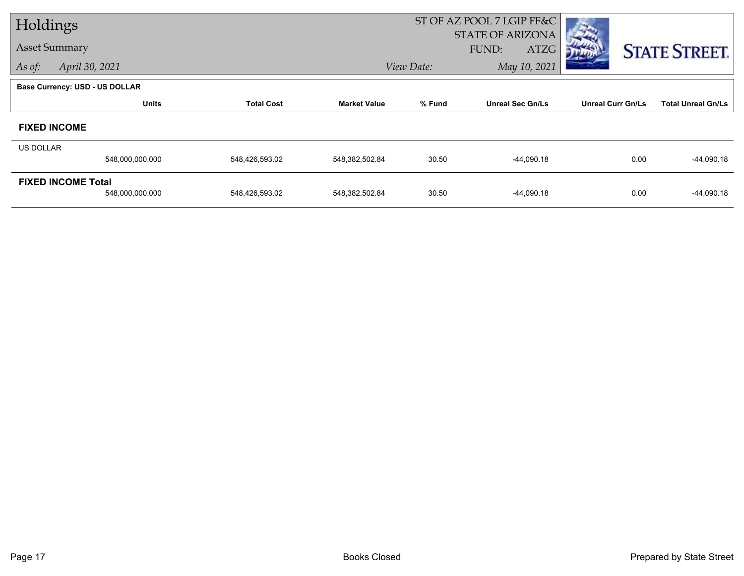| Holdings  |                                       |                   |                     | ST OF AZ POOL 7 LGIP FF&C |                                          |                          |                           |  |
|-----------|---------------------------------------|-------------------|---------------------|---------------------------|------------------------------------------|--------------------------|---------------------------|--|
|           | <b>Asset Summary</b>                  |                   |                     |                           | <b>STATE OF ARIZONA</b><br>FUND:<br>ATZG |                          |                           |  |
| As of:    | April 30, 2021                        |                   |                     | View Date:                | May 10, 2021                             |                          | <b>STATE STREET.</b>      |  |
|           | <b>Base Currency: USD - US DOLLAR</b> |                   |                     |                           |                                          |                          |                           |  |
|           | <b>Units</b>                          | <b>Total Cost</b> | <b>Market Value</b> | % Fund                    | <b>Unreal Sec Gn/Ls</b>                  | <b>Unreal Curr Gn/Ls</b> | <b>Total Unreal Gn/Ls</b> |  |
|           |                                       |                   |                     |                           |                                          |                          |                           |  |
|           | <b>FIXED INCOME</b>                   |                   |                     |                           |                                          |                          |                           |  |
| US DOLLAR |                                       |                   |                     |                           |                                          |                          |                           |  |
|           | 548,000,000.000                       | 548,426,593.02    | 548,382,502.84      | 30.50                     | $-44,090.18$                             | 0.00                     | $-44,090.18$              |  |
|           | <b>FIXED INCOME Total</b>             |                   |                     |                           |                                          |                          |                           |  |
|           | 548,000,000.000                       | 548,426,593.02    | 548,382,502.84      | 30.50                     | $-44,090.18$                             | 0.00                     | $-44,090.18$              |  |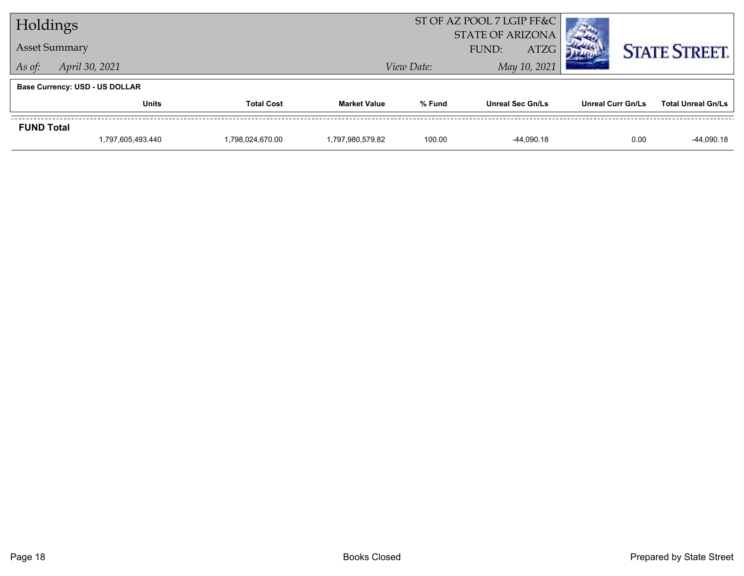| Holdings                 |                                       |                   | ST OF AZ POOL 7 LGIP FF&C |            |                                                 |                          |                           |
|--------------------------|---------------------------------------|-------------------|---------------------------|------------|-------------------------------------------------|--------------------------|---------------------------|
|                          | <b>Asset Summary</b>                  |                   |                           |            | <b>STATE OF ARIZONA</b><br><b>ATZG</b><br>FUND: |                          | <b>STATE STREET.</b>      |
| April 30, 2021<br>As of: |                                       |                   |                           | View Date: | May 10, 2021                                    |                          |                           |
|                          | <b>Base Currency: USD - US DOLLAR</b> |                   |                           |            |                                                 |                          |                           |
|                          | <b>Units</b>                          | <b>Total Cost</b> | <b>Market Value</b>       | % Fund     | <b>Unreal Sec Gn/Ls</b>                         | <b>Unreal Curr Gn/Ls</b> | <b>Total Unreal Gn/Ls</b> |
| <b>FUND Total</b>        |                                       |                   |                           |            |                                                 |                          |                           |
|                          | 1,797,605,493.440                     | 1,798,024,670.00  | 1,797,980,579.82          | 100.00     | -44.090.18                                      | 0.00                     | -44,090.18                |